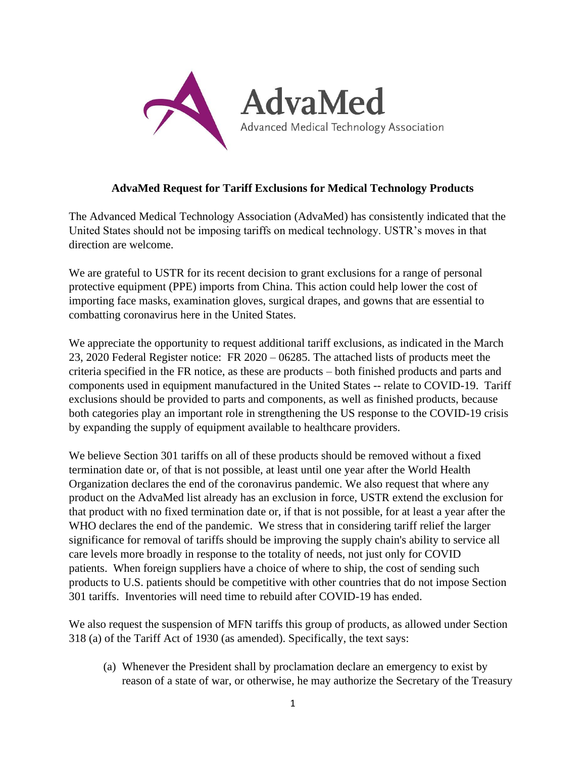

### **AdvaMed Request for Tariff Exclusions for Medical Technology Products**

The Advanced Medical Technology Association (AdvaMed) has consistently indicated that the United States should not be imposing tariffs on medical technology. USTR's moves in that direction are welcome.

We are grateful to USTR for its recent decision to grant exclusions for a range of personal protective equipment (PPE) imports from China. This action could help lower the cost of importing face masks, examination gloves, surgical drapes, and gowns that are essential to combatting coronavirus here in the United States.

We appreciate the opportunity to request additional tariff exclusions, as indicated in the March 23, 2020 Federal Register notice: FR 2020 – 06285. The attached lists of products meet the criteria specified in the FR notice, as these are products – both finished products and parts and components used in equipment manufactured in the United States -- relate to COVID-19. Tariff exclusions should be provided to parts and components, as well as finished products, because both categories play an important role in strengthening the US response to the COVID-19 crisis by expanding the supply of equipment available to healthcare providers.

We believe Section 301 tariffs on all of these products should be removed without a fixed termination date or, of that is not possible, at least until one year after the World Health Organization declares the end of the coronavirus pandemic. We also request that where any product on the AdvaMed list already has an exclusion in force, USTR extend the exclusion for that product with no fixed termination date or, if that is not possible, for at least a year after the WHO declares the end of the pandemic. We stress that in considering tariff relief the larger significance for removal of tariffs should be improving the supply chain's ability to service all care levels more broadly in response to the totality of needs, not just only for COVID patients. When foreign suppliers have a choice of where to ship, the cost of sending such products to U.S. patients should be competitive with other countries that do not impose Section 301 tariffs. Inventories will need time to rebuild after COVID-19 has ended.

We also request the suspension of MFN tariffs this group of products, as allowed under Section 318 (a) of the Tariff Act of 1930 (as amended). Specifically, the text says:

(a) Whenever the President shall by proclamation declare an emergency to exist by reason of a state of war, or otherwise, he may authorize the Secretary of the Treasury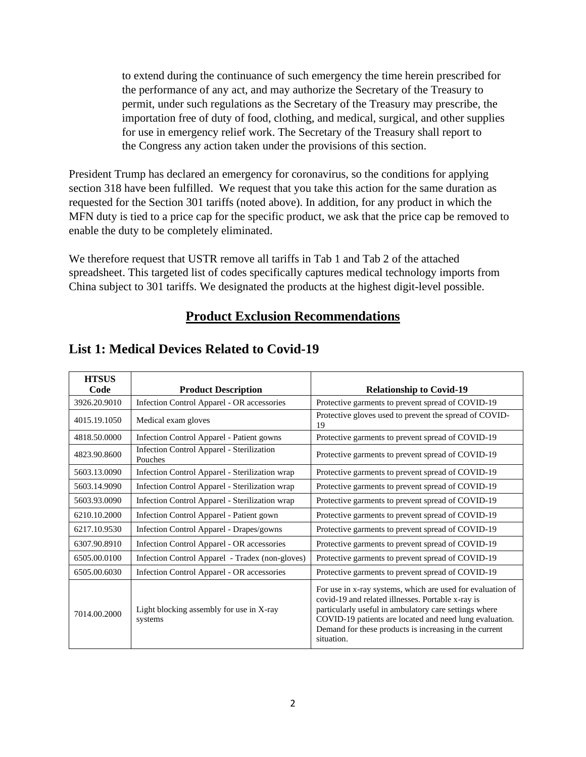to extend during the continuance of such emergency the time herein prescribed for the performance of any act, and may authorize the Secretary of the Treasury to permit, under such regulations as the Secretary of the Treasury may prescribe, the importation free of duty of food, clothing, and medical, surgical, and other supplies for use in emergency relief work. The Secretary of the Treasury shall report to the Congress any action taken under the provisions of this section.

President Trump has declared an emergency for coronavirus, so the conditions for applying section 318 have been fulfilled. We request that you take this action for the same duration as requested for the Section 301 tariffs (noted above). In addition, for any product in which the MFN duty is tied to a price cap for the specific product, we ask that the price cap be removed to enable the duty to be completely eliminated.

We therefore request that USTR remove all tariffs in Tab 1 and Tab 2 of the attached spreadsheet. This targeted list of codes specifically captures medical technology imports from China subject to 301 tariffs. We designated the products at the highest digit-level possible.

## **Product Exclusion Recommendations**

| <b>HTSUS</b> |                                                      |                                                                                                                                                                                                                                                                                                             |
|--------------|------------------------------------------------------|-------------------------------------------------------------------------------------------------------------------------------------------------------------------------------------------------------------------------------------------------------------------------------------------------------------|
| Code         | <b>Product Description</b>                           | <b>Relationship to Covid-19</b>                                                                                                                                                                                                                                                                             |
| 3926.20.9010 | Infection Control Apparel - OR accessories           | Protective garments to prevent spread of COVID-19                                                                                                                                                                                                                                                           |
| 4015.19.1050 | Medical exam gloves                                  | Protective gloves used to prevent the spread of COVID-<br>19                                                                                                                                                                                                                                                |
| 4818.50.0000 | Infection Control Apparel - Patient gowns            | Protective garments to prevent spread of COVID-19                                                                                                                                                                                                                                                           |
| 4823.90.8600 | Infection Control Apparel - Sterilization<br>Pouches | Protective garments to prevent spread of COVID-19                                                                                                                                                                                                                                                           |
| 5603.13.0090 | Infection Control Apparel - Sterilization wrap       | Protective garments to prevent spread of COVID-19                                                                                                                                                                                                                                                           |
| 5603.14.9090 | Infection Control Apparel - Sterilization wrap       | Protective garments to prevent spread of COVID-19                                                                                                                                                                                                                                                           |
| 5603.93.0090 | Infection Control Apparel - Sterilization wrap       | Protective garments to prevent spread of COVID-19                                                                                                                                                                                                                                                           |
| 6210.10.2000 | Infection Control Apparel - Patient gown             | Protective garments to prevent spread of COVID-19                                                                                                                                                                                                                                                           |
| 6217.10.9530 | Infection Control Apparel - Drapes/gowns             | Protective garments to prevent spread of COVID-19                                                                                                                                                                                                                                                           |
| 6307.90.8910 | Infection Control Apparel - OR accessories           | Protective garments to prevent spread of COVID-19                                                                                                                                                                                                                                                           |
| 6505.00.0100 | Infection Control Apparel - Tradex (non-gloves)      | Protective garments to prevent spread of COVID-19                                                                                                                                                                                                                                                           |
| 6505.00.6030 | Infection Control Apparel - OR accessories           | Protective garments to prevent spread of COVID-19                                                                                                                                                                                                                                                           |
| 7014.00.2000 | Light blocking assembly for use in X-ray<br>systems  | For use in x-ray systems, which are used for evaluation of<br>covid-19 and related illnesses. Portable x-ray is<br>particularly useful in ambulatory care settings where<br>COVID-19 patients are located and need lung evaluation.<br>Demand for these products is increasing in the current<br>situation. |

# **List 1: Medical Devices Related to Covid-19**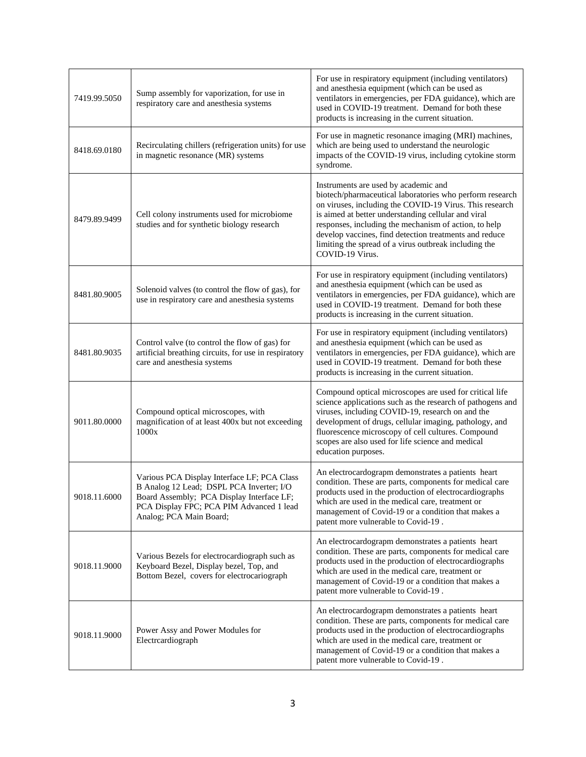| 7419.99.5050 | Sump assembly for vaporization, for use in<br>respiratory care and anesthesia systems                                                                                                                       | For use in respiratory equipment (including ventilators)<br>and anesthesia equipment (which can be used as<br>ventilators in emergencies, per FDA guidance), which are<br>used in COVID-19 treatment. Demand for both these<br>products is increasing in the current situation.                                                                                                                                   |
|--------------|-------------------------------------------------------------------------------------------------------------------------------------------------------------------------------------------------------------|-------------------------------------------------------------------------------------------------------------------------------------------------------------------------------------------------------------------------------------------------------------------------------------------------------------------------------------------------------------------------------------------------------------------|
| 8418.69.0180 | Recirculating chillers (refrigeration units) for use<br>in magnetic resonance (MR) systems                                                                                                                  | For use in magnetic resonance imaging (MRI) machines,<br>which are being used to understand the neurologic<br>impacts of the COVID-19 virus, including cytokine storm<br>syndrome.                                                                                                                                                                                                                                |
| 8479.89.9499 | Cell colony instruments used for microbiome<br>studies and for synthetic biology research                                                                                                                   | Instruments are used by academic and<br>biotech/pharmaceutical laboratories who perform research<br>on viruses, including the COVID-19 Virus. This research<br>is aimed at better understanding cellular and viral<br>responses, including the mechanism of action, to help<br>develop vaccines, find detection treatments and reduce<br>limiting the spread of a virus outbreak including the<br>COVID-19 Virus. |
| 8481.80.9005 | Solenoid valves (to control the flow of gas), for<br>use in respiratory care and anesthesia systems                                                                                                         | For use in respiratory equipment (including ventilators)<br>and anesthesia equipment (which can be used as<br>ventilators in emergencies, per FDA guidance), which are<br>used in COVID-19 treatment. Demand for both these<br>products is increasing in the current situation.                                                                                                                                   |
| 8481.80.9035 | Control valve (to control the flow of gas) for<br>artificial breathing circuits, for use in respiratory<br>care and anesthesia systems                                                                      | For use in respiratory equipment (including ventilators)<br>and anesthesia equipment (which can be used as<br>ventilators in emergencies, per FDA guidance), which are<br>used in COVID-19 treatment. Demand for both these<br>products is increasing in the current situation.                                                                                                                                   |
| 9011.80.0000 | Compound optical microscopes, with<br>magnification of at least 400x but not exceeding<br>1000x                                                                                                             | Compound optical microscopes are used for critical life<br>science applications such as the research of pathogens and<br>viruses, including COVID-19, research on and the<br>development of drugs, cellular imaging, pathology, and<br>fluorescence microscopy of cell cultures. Compound<br>scopes are also used for life science and medical<br>education purposes.                                             |
| 9018.11.6000 | Various PCA Display Interface LF; PCA Class<br>B Analog 12 Lead; DSPL PCA Inverter; I/O<br>Board Assembly; PCA Display Interface LF;<br>PCA Display FPC; PCA PIM Advanced 1 lead<br>Analog; PCA Main Board; | An electrocardograpm demonstrates a patients heart<br>condition. These are parts, components for medical care<br>products used in the production of electrocardiographs<br>which are used in the medical care, treatment or<br>management of Covid-19 or a condition that makes a<br>patent more vulnerable to Covid-19.                                                                                          |
| 9018.11.9000 | Various Bezels for electrocardiograph such as<br>Keyboard Bezel, Display bezel, Top, and<br>Bottom Bezel, covers for electrocariograph                                                                      | An electrocardograpm demonstrates a patients heart<br>condition. These are parts, components for medical care<br>products used in the production of electrocardiographs<br>which are used in the medical care, treatment or<br>management of Covid-19 or a condition that makes a<br>patent more vulnerable to Covid-19.                                                                                          |
| 9018.11.9000 | Power Assy and Power Modules for<br>Electrcardiograph                                                                                                                                                       | An electrocardograpm demonstrates a patients heart<br>condition. These are parts, components for medical care<br>products used in the production of electrocardiographs<br>which are used in the medical care, treatment or<br>management of Covid-19 or a condition that makes a<br>patent more vulnerable to Covid-19.                                                                                          |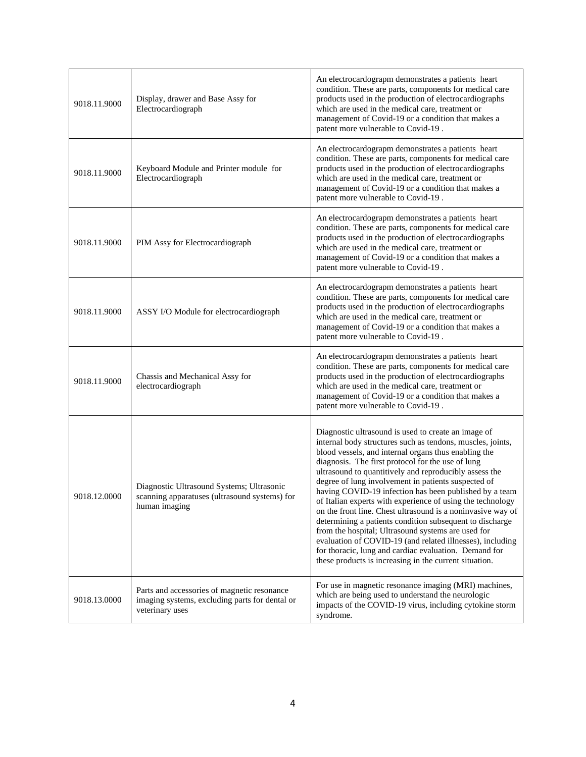| 9018.11.9000 | Display, drawer and Base Assy for<br>Electrocardiograph                                                          | An electrocardograpm demonstrates a patients heart<br>condition. These are parts, components for medical care<br>products used in the production of electrocardiographs<br>which are used in the medical care, treatment or<br>management of Covid-19 or a condition that makes a<br>patent more vulnerable to Covid-19.                                                                                                                                                                                                                                                                                                                                                                                                                                                                                                                 |
|--------------|------------------------------------------------------------------------------------------------------------------|------------------------------------------------------------------------------------------------------------------------------------------------------------------------------------------------------------------------------------------------------------------------------------------------------------------------------------------------------------------------------------------------------------------------------------------------------------------------------------------------------------------------------------------------------------------------------------------------------------------------------------------------------------------------------------------------------------------------------------------------------------------------------------------------------------------------------------------|
| 9018.11.9000 | Keyboard Module and Printer module for<br>Electrocardiograph                                                     | An electrocardograpm demonstrates a patients heart<br>condition. These are parts, components for medical care<br>products used in the production of electrocardiographs<br>which are used in the medical care, treatment or<br>management of Covid-19 or a condition that makes a<br>patent more vulnerable to Covid-19.                                                                                                                                                                                                                                                                                                                                                                                                                                                                                                                 |
| 9018.11.9000 | PIM Assy for Electrocardiograph                                                                                  | An electrocardograpm demonstrates a patients heart<br>condition. These are parts, components for medical care<br>products used in the production of electrocardiographs<br>which are used in the medical care, treatment or<br>management of Covid-19 or a condition that makes a<br>patent more vulnerable to Covid-19.                                                                                                                                                                                                                                                                                                                                                                                                                                                                                                                 |
| 9018.11.9000 | ASSY I/O Module for electrocardiograph                                                                           | An electrocardograpm demonstrates a patients heart<br>condition. These are parts, components for medical care<br>products used in the production of electrocardiographs<br>which are used in the medical care, treatment or<br>management of Covid-19 or a condition that makes a<br>patent more vulnerable to Covid-19.                                                                                                                                                                                                                                                                                                                                                                                                                                                                                                                 |
| 9018.11.9000 | Chassis and Mechanical Assy for<br>electrocardiograph                                                            | An electrocardograpm demonstrates a patients heart<br>condition. These are parts, components for medical care<br>products used in the production of electrocardiographs<br>which are used in the medical care, treatment or<br>management of Covid-19 or a condition that makes a<br>patent more vulnerable to Covid-19.                                                                                                                                                                                                                                                                                                                                                                                                                                                                                                                 |
| 9018.12.0000 | Diagnostic Ultrasound Systems; Ultrasonic<br>scanning apparatuses (ultrasound systems) for<br>human imaging      | Diagnostic ultrasound is used to create an image of<br>internal body structures such as tendons, muscles, joints,<br>blood vessels, and internal organs thus enabling the<br>diagnosis. The first protocol for the use of lung<br>ultrasound to quantitively and reproducibly assess the<br>degree of lung involvement in patients suspected of<br>having COVID-19 infection has been published by a team<br>of Italian experts with experience of using the technology<br>on the front line. Chest ultrasound is a noninvasive way of<br>determining a patients condition subsequent to discharge<br>from the hospital; Ultrasound systems are used for<br>evaluation of COVID-19 (and related illnesses), including<br>for thoracic, lung and cardiac evaluation. Demand for<br>these products is increasing in the current situation. |
| 9018.13.0000 | Parts and accessories of magnetic resonance<br>imaging systems, excluding parts for dental or<br>veterinary uses | For use in magnetic resonance imaging (MRI) machines,<br>which are being used to understand the neurologic<br>impacts of the COVID-19 virus, including cytokine storm<br>syndrome.                                                                                                                                                                                                                                                                                                                                                                                                                                                                                                                                                                                                                                                       |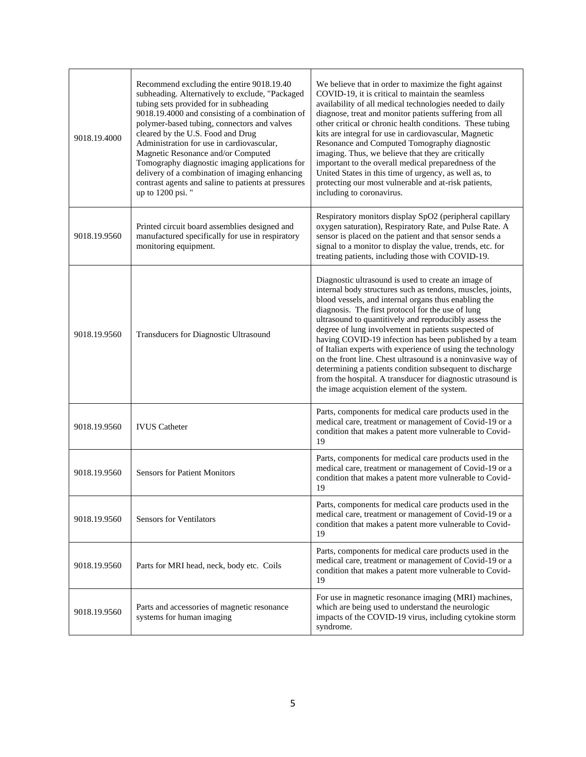| 9018.19.4000 | Recommend excluding the entire 9018.19.40<br>subheading. Alternatively to exclude, "Packaged<br>tubing sets provided for in subheading<br>9018.19.4000 and consisting of a combination of<br>polymer-based tubing, connectors and valves<br>cleared by the U.S. Food and Drug<br>Administration for use in cardiovascular,<br>Magnetic Resonance and/or Computed<br>Tomography diagnostic imaging applications for<br>delivery of a combination of imaging enhancing<br>contrast agents and saline to patients at pressures<br>up to 1200 psi." | We believe that in order to maximize the fight against<br>COVID-19, it is critical to maintain the seamless<br>availability of all medical technologies needed to daily<br>diagnose, treat and monitor patients suffering from all<br>other critical or chronic health conditions. These tubing<br>kits are integral for use in cardiovascular, Magnetic<br>Resonance and Computed Tomography diagnostic<br>imaging. Thus, we believe that they are critically<br>important to the overall medical preparedness of the<br>United States in this time of urgency, as well as, to<br>protecting our most vulnerable and at-risk patients,<br>including to coronavirus.                                             |
|--------------|-------------------------------------------------------------------------------------------------------------------------------------------------------------------------------------------------------------------------------------------------------------------------------------------------------------------------------------------------------------------------------------------------------------------------------------------------------------------------------------------------------------------------------------------------|------------------------------------------------------------------------------------------------------------------------------------------------------------------------------------------------------------------------------------------------------------------------------------------------------------------------------------------------------------------------------------------------------------------------------------------------------------------------------------------------------------------------------------------------------------------------------------------------------------------------------------------------------------------------------------------------------------------|
| 9018.19.9560 | Printed circuit board assemblies designed and<br>manufactured specifically for use in respiratory<br>monitoring equipment.                                                                                                                                                                                                                                                                                                                                                                                                                      | Respiratory monitors display SpO2 (peripheral capillary<br>oxygen saturation), Respiratory Rate, and Pulse Rate. A<br>sensor is placed on the patient and that sensor sends a<br>signal to a monitor to display the value, trends, etc. for<br>treating patients, including those with COVID-19.                                                                                                                                                                                                                                                                                                                                                                                                                 |
| 9018.19.9560 | Transducers for Diagnostic Ultrasound                                                                                                                                                                                                                                                                                                                                                                                                                                                                                                           | Diagnostic ultrasound is used to create an image of<br>internal body structures such as tendons, muscles, joints,<br>blood vessels, and internal organs thus enabling the<br>diagnosis. The first protocol for the use of lung<br>ultrasound to quantitively and reproducibly assess the<br>degree of lung involvement in patients suspected of<br>having COVID-19 infection has been published by a team<br>of Italian experts with experience of using the technology<br>on the front line. Chest ultrasound is a noninvasive way of<br>determining a patients condition subsequent to discharge<br>from the hospital. A transducer for diagnostic utrasound is<br>the image acquistion element of the system. |
| 9018.19.9560 | <b>IVUS</b> Catheter                                                                                                                                                                                                                                                                                                                                                                                                                                                                                                                            | Parts, components for medical care products used in the<br>medical care, treatment or management of Covid-19 or a<br>condition that makes a patent more vulnerable to Covid-<br>19                                                                                                                                                                                                                                                                                                                                                                                                                                                                                                                               |
| 9018.19.9560 | <b>Sensors for Patient Monitors</b>                                                                                                                                                                                                                                                                                                                                                                                                                                                                                                             | Parts, components for medical care products used in the<br>medical care, treatment or management of Covid-19 or a<br>condition that makes a patent more vulnerable to Covid-<br>19                                                                                                                                                                                                                                                                                                                                                                                                                                                                                                                               |
| 9018.19.9560 | <b>Sensors for Ventilators</b>                                                                                                                                                                                                                                                                                                                                                                                                                                                                                                                  | Parts, components for medical care products used in the<br>medical care, treatment or management of Covid-19 or a<br>condition that makes a patent more vulnerable to Covid-<br>19                                                                                                                                                                                                                                                                                                                                                                                                                                                                                                                               |
| 9018.19.9560 | Parts for MRI head, neck, body etc. Coils                                                                                                                                                                                                                                                                                                                                                                                                                                                                                                       | Parts, components for medical care products used in the<br>medical care, treatment or management of Covid-19 or a<br>condition that makes a patent more vulnerable to Covid-<br>19                                                                                                                                                                                                                                                                                                                                                                                                                                                                                                                               |
| 9018.19.9560 | Parts and accessories of magnetic resonance<br>systems for human imaging                                                                                                                                                                                                                                                                                                                                                                                                                                                                        | For use in magnetic resonance imaging (MRI) machines,<br>which are being used to understand the neurologic<br>impacts of the COVID-19 virus, including cytokine storm<br>syndrome.                                                                                                                                                                                                                                                                                                                                                                                                                                                                                                                               |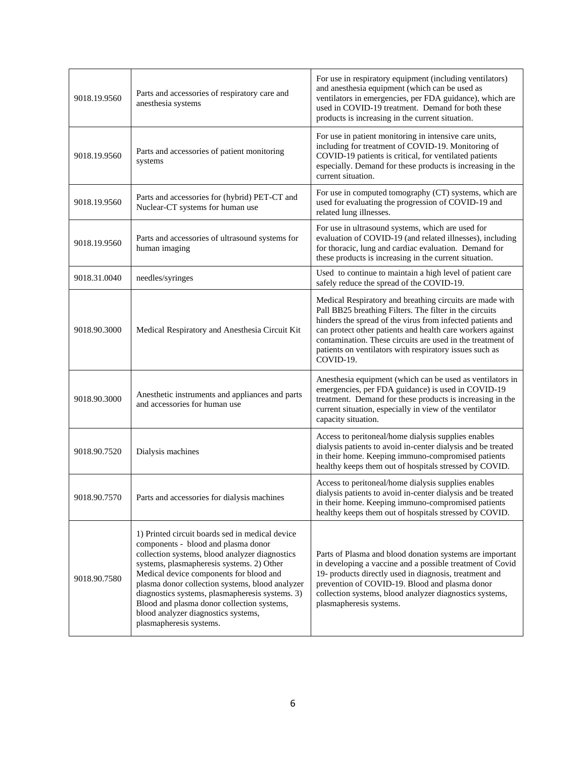| 9018.19.9560 | Parts and accessories of respiratory care and<br>anesthesia systems                                                                                                                                                                                                                                                                                                                                                                                    | For use in respiratory equipment (including ventilators)<br>and anesthesia equipment (which can be used as<br>ventilators in emergencies, per FDA guidance), which are<br>used in COVID-19 treatment. Demand for both these<br>products is increasing in the current situation.                                                                                                       |
|--------------|--------------------------------------------------------------------------------------------------------------------------------------------------------------------------------------------------------------------------------------------------------------------------------------------------------------------------------------------------------------------------------------------------------------------------------------------------------|---------------------------------------------------------------------------------------------------------------------------------------------------------------------------------------------------------------------------------------------------------------------------------------------------------------------------------------------------------------------------------------|
| 9018.19.9560 | Parts and accessories of patient monitoring<br>systems                                                                                                                                                                                                                                                                                                                                                                                                 | For use in patient monitoring in intensive care units,<br>including for treatment of COVID-19. Monitoring of<br>COVID-19 patients is critical, for ventilated patients<br>especially. Demand for these products is increasing in the<br>current situation.                                                                                                                            |
| 9018.19.9560 | Parts and accessories for (hybrid) PET-CT and<br>Nuclear-CT systems for human use                                                                                                                                                                                                                                                                                                                                                                      | For use in computed tomography (CT) systems, which are<br>used for evaluating the progression of COVID-19 and<br>related lung illnesses.                                                                                                                                                                                                                                              |
| 9018.19.9560 | Parts and accessories of ultrasound systems for<br>human imaging                                                                                                                                                                                                                                                                                                                                                                                       | For use in ultrasound systems, which are used for<br>evaluation of COVID-19 (and related illnesses), including<br>for thoracic, lung and cardiac evaluation. Demand for<br>these products is increasing in the current situation.                                                                                                                                                     |
| 9018.31.0040 | needles/syringes                                                                                                                                                                                                                                                                                                                                                                                                                                       | Used to continue to maintain a high level of patient care<br>safely reduce the spread of the COVID-19.                                                                                                                                                                                                                                                                                |
| 9018.90.3000 | Medical Respiratory and Anesthesia Circuit Kit                                                                                                                                                                                                                                                                                                                                                                                                         | Medical Respiratory and breathing circuits are made with<br>Pall BB25 breathing Filters. The filter in the circuits<br>hinders the spread of the virus from infected patients and<br>can protect other patients and health care workers against<br>contamination. These circuits are used in the treatment of<br>patients on ventilators with respiratory issues such as<br>COVID-19. |
| 9018.90.3000 | Anesthetic instruments and appliances and parts<br>and accessories for human use                                                                                                                                                                                                                                                                                                                                                                       | Anesthesia equipment (which can be used as ventilators in<br>emergencies, per FDA guidance) is used in COVID-19<br>treatment. Demand for these products is increasing in the<br>current situation, especially in view of the ventilator<br>capacity situation.                                                                                                                        |
| 9018.90.7520 | Dialysis machines                                                                                                                                                                                                                                                                                                                                                                                                                                      | Access to peritoneal/home dialysis supplies enables<br>dialysis patients to avoid in-center dialysis and be treated<br>in their home. Keeping immuno-compromised patients<br>healthy keeps them out of hospitals stressed by COVID.                                                                                                                                                   |
| 9018.90.7570 | Parts and accessories for dialysis machines                                                                                                                                                                                                                                                                                                                                                                                                            | Access to peritoneal/home dialysis supplies enables<br>dialysis patients to avoid in-center dialysis and be treated<br>in their home. Keeping immuno-compromised patients<br>healthy keeps them out of hospitals stressed by COVID.                                                                                                                                                   |
| 9018.90.7580 | 1) Printed circuit boards sed in medical device<br>components - blood and plasma donor<br>collection systems, blood analyzer diagnostics<br>systems, plasmapheresis systems. 2) Other<br>Medical device components for blood and<br>plasma donor collection systems, blood analyzer<br>diagnostics systems, plasmapheresis systems. 3)<br>Blood and plasma donor collection systems,<br>blood analyzer diagnostics systems,<br>plasmapheresis systems. | Parts of Plasma and blood donation systems are important<br>in developing a vaccine and a possible treatment of Covid<br>19- products directly used in diagnosis, treatment and<br>prevention of COVID-19. Blood and plasma donor<br>collection systems, blood analyzer diagnostics systems,<br>plasmapheresis systems.                                                               |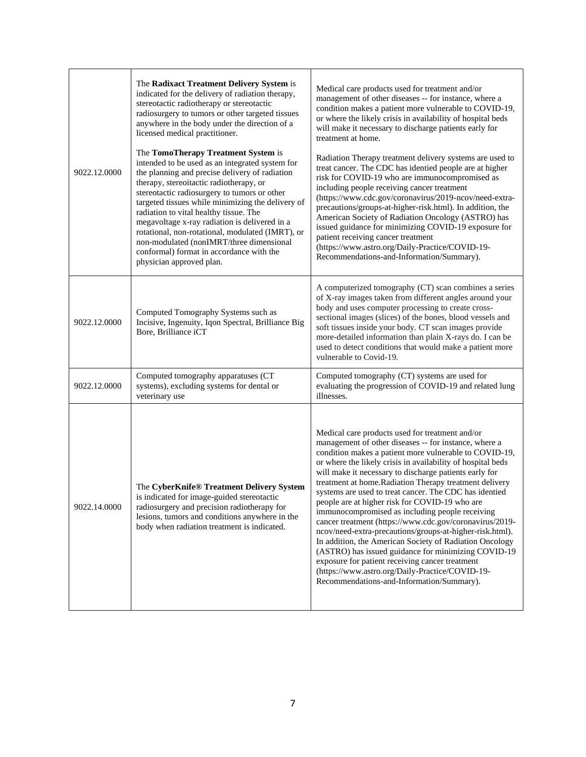| 9022.12.0000 | The Radixact Treatment Delivery System is<br>indicated for the delivery of radiation therapy,<br>stereotactic radiotherapy or stereotactic<br>radiosurgery to tumors or other targeted tissues<br>anywhere in the body under the direction of a<br>licensed medical practitioner.<br>The TomoTherapy Treatment System is<br>intended to be used as an integrated system for<br>the planning and precise delivery of radiation<br>therapy, stereoitactic radiotherapy, or<br>stereotactic radiosurgery to tumors or other<br>targeted tissues while minimizing the delivery of<br>radiation to vital healthy tissue. The<br>megavoltage x-ray radiation is delivered in a<br>rotational, non-rotational, modulated (IMRT), or<br>non-modulated (nonIMRT/three dimensional<br>conformal) format in accordance with the<br>physician approved plan. | Medical care products used for treatment and/or<br>management of other diseases -- for instance, where a<br>condition makes a patient more vulnerable to COVID-19,<br>or where the likely crisis in availability of hospital beds<br>will make it necessary to discharge patients early for<br>treatment at home.<br>Radiation Therapy treatment delivery systems are used to<br>treat cancer. The CDC has identied people are at higher<br>risk for COVID-19 who are immunocompromised as<br>including people receiving cancer treatment<br>(https://www.cdc.gov/coronavirus/2019-ncov/need-extra-<br>precautions/groups-at-higher-risk.html). In addition, the<br>American Society of Radiation Oncology (ASTRO) has<br>issued guidance for minimizing COVID-19 exposure for<br>patient receiving cancer treatment<br>(https://www.astro.org/Daily-Practice/COVID-19-<br>Recommendations-and-Information/Summary). |
|--------------|--------------------------------------------------------------------------------------------------------------------------------------------------------------------------------------------------------------------------------------------------------------------------------------------------------------------------------------------------------------------------------------------------------------------------------------------------------------------------------------------------------------------------------------------------------------------------------------------------------------------------------------------------------------------------------------------------------------------------------------------------------------------------------------------------------------------------------------------------|----------------------------------------------------------------------------------------------------------------------------------------------------------------------------------------------------------------------------------------------------------------------------------------------------------------------------------------------------------------------------------------------------------------------------------------------------------------------------------------------------------------------------------------------------------------------------------------------------------------------------------------------------------------------------------------------------------------------------------------------------------------------------------------------------------------------------------------------------------------------------------------------------------------------|
| 9022.12.0000 | Computed Tomography Systems such as<br>Incisive, Ingenuity, Iqon Spectral, Brilliance Big<br>Bore, Brilliance iCT                                                                                                                                                                                                                                                                                                                                                                                                                                                                                                                                                                                                                                                                                                                                | A computerized tomography (CT) scan combines a series<br>of X-ray images taken from different angles around your<br>body and uses computer processing to create cross-<br>sectional images (slices) of the bones, blood vessels and<br>soft tissues inside your body. CT scan images provide<br>more-detailed information than plain X-rays do. I can be<br>used to detect conditions that would make a patient more<br>vulnerable to Covid-19.                                                                                                                                                                                                                                                                                                                                                                                                                                                                      |
| 9022.12.0000 | Computed tomography apparatuses (CT<br>systems), excluding systems for dental or<br>veterinary use                                                                                                                                                                                                                                                                                                                                                                                                                                                                                                                                                                                                                                                                                                                                               | Computed tomography (CT) systems are used for<br>evaluating the progression of COVID-19 and related lung<br>illnesses.                                                                                                                                                                                                                                                                                                                                                                                                                                                                                                                                                                                                                                                                                                                                                                                               |
| 9022.14.0000 | The CyberKnife® Treatment Delivery System<br>is indicated for image-guided stereotactic<br>radiosurgery and precision radiotherapy for<br>lesions, tumors and conditions anywhere in the<br>body when radiation treatment is indicated.                                                                                                                                                                                                                                                                                                                                                                                                                                                                                                                                                                                                          | Medical care products used for treatment and/or<br>management of other diseases -- for instance, where a<br>condition makes a patient more vulnerable to COVID-19,<br>or where the likely crisis in availability of hospital beds<br>will make it necessary to discharge patients early for<br>treatment at home. Radiation Therapy treatment delivery<br>systems are used to treat cancer. The CDC has identied<br>people are at higher risk for COVID-19 who are<br>immunocompromised as including people receiving<br>cancer treatment (https://www.cdc.gov/coronavirus/2019-<br>ncov/need-extra-precautions/groups-at-higher-risk.html).<br>In addition, the American Society of Radiation Oncology<br>(ASTRO) has issued guidance for minimizing COVID-19<br>exposure for patient receiving cancer treatment<br>(https://www.astro.org/Daily-Practice/COVID-19-<br>Recommendations-and-Information/Summary).    |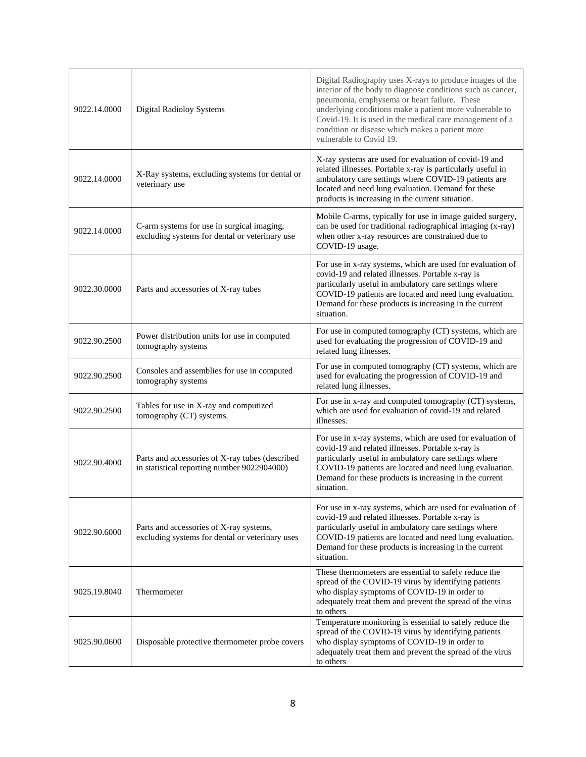| 9022.14.0000 | <b>Digital Radioloy Systems</b>                                                                | Digital Radiography uses X-rays to produce images of the<br>interior of the body to diagnose conditions such as cancer,<br>pneumonia, emphysema or heart failure. These<br>underlying conditions make a patient more vulnerable to<br>Covid-19. It is used in the medical care management of a<br>condition or disease which makes a patient more<br>vulnerable to Covid 19. |
|--------------|------------------------------------------------------------------------------------------------|------------------------------------------------------------------------------------------------------------------------------------------------------------------------------------------------------------------------------------------------------------------------------------------------------------------------------------------------------------------------------|
| 9022.14.0000 | X-Ray systems, excluding systems for dental or<br>veterinary use                               | X-ray systems are used for evaluation of covid-19 and<br>related illnesses. Portable x-ray is particularly useful in<br>ambulatory care settings where COVID-19 patients are<br>located and need lung evaluation. Demand for these<br>products is increasing in the current situation.                                                                                       |
| 9022.14.0000 | C-arm systems for use in surgical imaging,<br>excluding systems for dental or veterinary use   | Mobile C-arms, typically for use in image guided surgery,<br>can be used for traditional radiographical imaging (x-ray)<br>when other x-ray resources are constrained due to<br>COVID-19 usage.                                                                                                                                                                              |
| 9022.30.0000 | Parts and accessories of X-ray tubes                                                           | For use in x-ray systems, which are used for evaluation of<br>covid-19 and related illnesses. Portable x-ray is<br>particularly useful in ambulatory care settings where<br>COVID-19 patients are located and need lung evaluation.<br>Demand for these products is increasing in the current<br>situation.                                                                  |
| 9022.90.2500 | Power distribution units for use in computed<br>tomography systems                             | For use in computed tomography (CT) systems, which are<br>used for evaluating the progression of COVID-19 and<br>related lung illnesses.                                                                                                                                                                                                                                     |
| 9022.90.2500 | Consoles and assemblies for use in computed<br>tomography systems                              | For use in computed tomography (CT) systems, which are<br>used for evaluating the progression of COVID-19 and<br>related lung illnesses.                                                                                                                                                                                                                                     |
| 9022.90.2500 | Tables for use in X-ray and computized<br>tomography (CT) systems.                             | For use in x-ray and computed tomography (CT) systems,<br>which are used for evaluation of covid-19 and related<br>illnesses.                                                                                                                                                                                                                                                |
| 9022.90.4000 | Parts and accessories of X-ray tubes (described<br>in statistical reporting number 9022904000) | For use in x-ray systems, which are used for evaluation of<br>covid-19 and related illnesses. Portable x-ray is<br>particularly useful in ambulatory care settings where<br>COVID-19 patients are located and need lung evaluation.<br>Demand for these products is increasing in the current<br>situation.                                                                  |
| 9022.90.6000 | Parts and accessories of X-ray systems,<br>excluding systems for dental or veterinary uses     | For use in x-ray systems, which are used for evaluation of<br>covid-19 and related illnesses. Portable x-ray is<br>particularly useful in ambulatory care settings where<br>COVID-19 patients are located and need lung evaluation.<br>Demand for these products is increasing in the current<br>situation.                                                                  |
| 9025.19.8040 | Thermometer                                                                                    | These thermometers are essential to safely reduce the<br>spread of the COVID-19 virus by identifying patients<br>who display symptoms of COVID-19 in order to<br>adequately treat them and prevent the spread of the virus<br>to others                                                                                                                                      |
| 9025.90.0600 | Disposable protective thermometer probe covers                                                 | Temperature monitoring is essential to safely reduce the<br>spread of the COVID-19 virus by identifying patients<br>who display symptoms of COVID-19 in order to<br>adequately treat them and prevent the spread of the virus<br>to others                                                                                                                                   |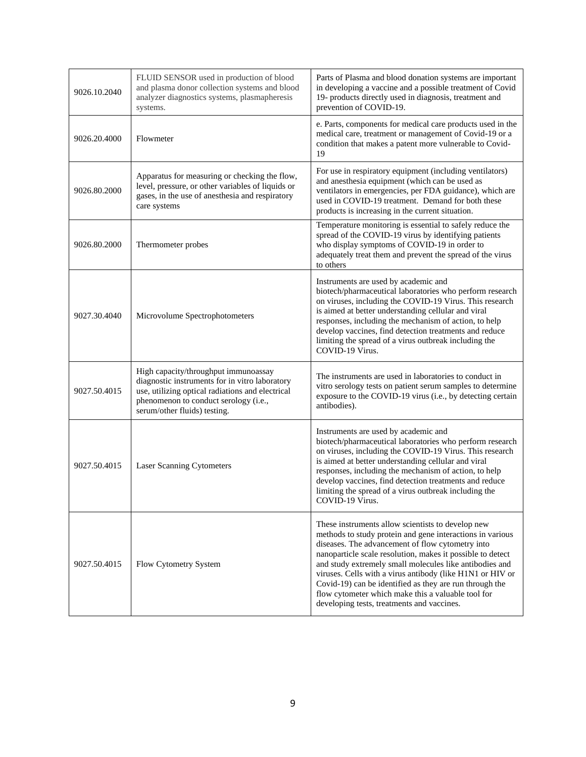| 9026.10.2040 | FLUID SENSOR used in production of blood<br>and plasma donor collection systems and blood<br>analyzer diagnostics systems, plasmapheresis<br>systems.                                                               | Parts of Plasma and blood donation systems are important<br>in developing a vaccine and a possible treatment of Covid<br>19- products directly used in diagnosis, treatment and<br>prevention of COVID-19.                                                                                                                                                                                                                                                                                                              |
|--------------|---------------------------------------------------------------------------------------------------------------------------------------------------------------------------------------------------------------------|-------------------------------------------------------------------------------------------------------------------------------------------------------------------------------------------------------------------------------------------------------------------------------------------------------------------------------------------------------------------------------------------------------------------------------------------------------------------------------------------------------------------------|
| 9026.20.4000 | Flowmeter                                                                                                                                                                                                           | e. Parts, components for medical care products used in the<br>medical care, treatment or management of Covid-19 or a<br>condition that makes a patent more vulnerable to Covid-<br>19                                                                                                                                                                                                                                                                                                                                   |
| 9026.80.2000 | Apparatus for measuring or checking the flow,<br>level, pressure, or other variables of liquids or<br>gases, in the use of anesthesia and respiratory<br>care systems                                               | For use in respiratory equipment (including ventilators)<br>and anesthesia equipment (which can be used as<br>ventilators in emergencies, per FDA guidance), which are<br>used in COVID-19 treatment. Demand for both these<br>products is increasing in the current situation.                                                                                                                                                                                                                                         |
| 9026.80.2000 | Thermometer probes                                                                                                                                                                                                  | Temperature monitoring is essential to safely reduce the<br>spread of the COVID-19 virus by identifying patients<br>who display symptoms of COVID-19 in order to<br>adequately treat them and prevent the spread of the virus<br>to others                                                                                                                                                                                                                                                                              |
| 9027.30.4040 | Microvolume Spectrophotometers                                                                                                                                                                                      | Instruments are used by academic and<br>biotech/pharmaceutical laboratories who perform research<br>on viruses, including the COVID-19 Virus. This research<br>is aimed at better understanding cellular and viral<br>responses, including the mechanism of action, to help<br>develop vaccines, find detection treatments and reduce<br>limiting the spread of a virus outbreak including the<br>COVID-19 Virus.                                                                                                       |
| 9027.50.4015 | High capacity/throughput immunoassay<br>diagnostic instruments for in vitro laboratory<br>use, utilizing optical radiations and electrical<br>phenomenon to conduct serology (i.e.,<br>serum/other fluids) testing. | The instruments are used in laboratories to conduct in<br>vitro serology tests on patient serum samples to determine<br>exposure to the COVID-19 virus (i.e., by detecting certain<br>antibodies).                                                                                                                                                                                                                                                                                                                      |
| 9027.50.4015 | <b>Laser Scanning Cytometers</b>                                                                                                                                                                                    | Instruments are used by academic and<br>biotech/pharmaceutical laboratories who perform research<br>on viruses, including the COVID-19 Virus. This research<br>is aimed at better understanding cellular and viral<br>responses, including the mechanism of action, to help<br>develop vaccines, find detection treatments and reduce<br>limiting the spread of a virus outbreak including the<br>COVID-19 Virus.                                                                                                       |
| 9027.50.4015 | Flow Cytometry System                                                                                                                                                                                               | These instruments allow scientists to develop new<br>methods to study protein and gene interactions in various<br>diseases. The advancement of flow cytometry into<br>nanoparticle scale resolution, makes it possible to detect<br>and study extremely small molecules like antibodies and<br>viruses. Cells with a virus antibody (like H1N1 or HIV or<br>Covid-19) can be identified as they are run through the<br>flow cytometer which make this a valuable tool for<br>developing tests, treatments and vaccines. |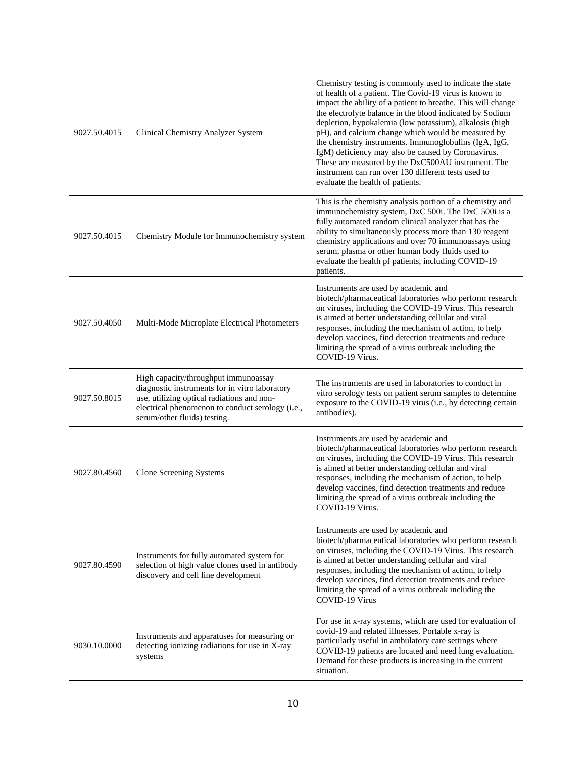| 9027.50.4015 | Clinical Chemistry Analyzer System                                                                                                                                                                                       | Chemistry testing is commonly used to indicate the state<br>of health of a patient. The Covid-19 virus is known to<br>impact the ability of a patient to breathe. This will change<br>the electrolyte balance in the blood indicated by Sodium<br>depletion, hypokalemia (low potassium), alkalosis (high<br>pH), and calcium change which would be measured by<br>the chemistry instruments. Immunoglobulins (IgA, IgG,<br>IgM) deficiency may also be caused by Coronavirus.<br>These are measured by the DxC500AU instrument. The<br>instrument can run over 130 different tests used to<br>evaluate the health of patients. |
|--------------|--------------------------------------------------------------------------------------------------------------------------------------------------------------------------------------------------------------------------|---------------------------------------------------------------------------------------------------------------------------------------------------------------------------------------------------------------------------------------------------------------------------------------------------------------------------------------------------------------------------------------------------------------------------------------------------------------------------------------------------------------------------------------------------------------------------------------------------------------------------------|
| 9027.50.4015 | Chemistry Module for Immunochemistry system                                                                                                                                                                              | This is the chemistry analysis portion of a chemistry and<br>immunochemistry system, DxC 500i. The DxC 500i is a<br>fully automated random clinical analyzer that has the<br>ability to simultaneously process more than 130 reagent<br>chemistry applications and over 70 immunoassays using<br>serum, plasma or other human body fluids used to<br>evaluate the health pf patients, including COVID-19<br>patients.                                                                                                                                                                                                           |
| 9027.50.4050 | Multi-Mode Microplate Electrical Photometers                                                                                                                                                                             | Instruments are used by academic and<br>biotech/pharmaceutical laboratories who perform research<br>on viruses, including the COVID-19 Virus. This research<br>is aimed at better understanding cellular and viral<br>responses, including the mechanism of action, to help<br>develop vaccines, find detection treatments and reduce<br>limiting the spread of a virus outbreak including the<br>COVID-19 Virus.                                                                                                                                                                                                               |
| 9027.50.8015 | High capacity/throughput immunoassay<br>diagnostic instruments for in vitro laboratory<br>use, utilizing optical radiations and non-<br>electrical phenomenon to conduct serology (i.e.,<br>serum/other fluids) testing. | The instruments are used in laboratories to conduct in<br>vitro serology tests on patient serum samples to determine<br>exposure to the COVID-19 virus (i.e., by detecting certain<br>antibodies).                                                                                                                                                                                                                                                                                                                                                                                                                              |
| 9027.80.4560 | Clone Screening Systems                                                                                                                                                                                                  | Instruments are used by academic and<br>biotech/pharmaceutical laboratories who perform research<br>on viruses, including the COVID-19 Virus. This research<br>is aimed at better understanding cellular and viral<br>responses, including the mechanism of action, to help<br>develop vaccines, find detection treatments and reduce<br>limiting the spread of a virus outbreak including the<br>COVID-19 Virus.                                                                                                                                                                                                               |
| 9027.80.4590 | Instruments for fully automated system for<br>selection of high value clones used in antibody<br>discovery and cell line development                                                                                     | Instruments are used by academic and<br>biotech/pharmaceutical laboratories who perform research<br>on viruses, including the COVID-19 Virus. This research<br>is aimed at better understanding cellular and viral<br>responses, including the mechanism of action, to help<br>develop vaccines, find detection treatments and reduce<br>limiting the spread of a virus outbreak including the<br>COVID-19 Virus                                                                                                                                                                                                                |
| 9030.10.0000 | Instruments and apparatuses for measuring or<br>detecting ionizing radiations for use in X-ray<br>systems                                                                                                                | For use in x-ray systems, which are used for evaluation of<br>covid-19 and related illnesses. Portable x-ray is<br>particularly useful in ambulatory care settings where<br>COVID-19 patients are located and need lung evaluation.<br>Demand for these products is increasing in the current<br>situation.                                                                                                                                                                                                                                                                                                                     |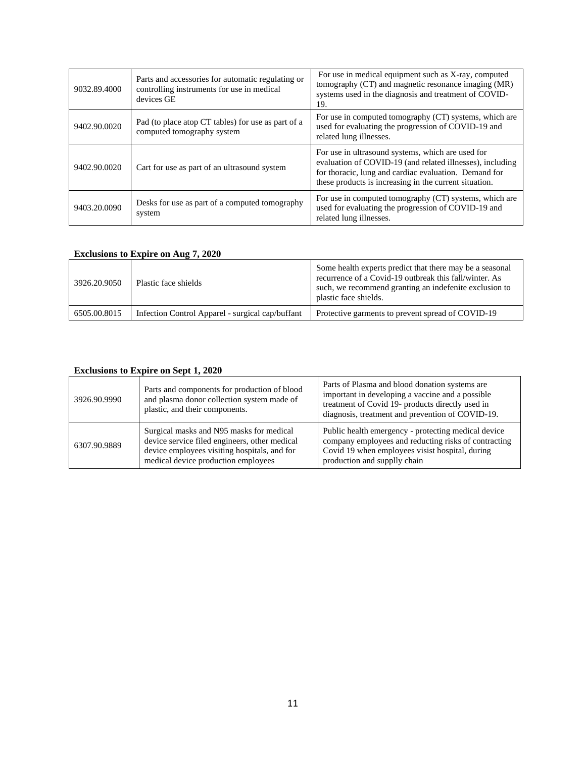| 9032.89.4000 | Parts and accessories for automatic regulating or<br>controlling instruments for use in medical<br>devices GE | For use in medical equipment such as X-ray, computed<br>tomography (CT) and magnetic resonance imaging (MR)<br>systems used in the diagnosis and treatment of COVID-<br>19.                                                       |
|--------------|---------------------------------------------------------------------------------------------------------------|-----------------------------------------------------------------------------------------------------------------------------------------------------------------------------------------------------------------------------------|
| 9402.90.0020 | Pad (to place atop CT tables) for use as part of a<br>computed tomography system                              | For use in computed tomography (CT) systems, which are<br>used for evaluating the progression of COVID-19 and<br>related lung illnesses.                                                                                          |
| 9402.90.0020 | Cart for use as part of an ultrasound system                                                                  | For use in ultrasound systems, which are used for<br>evaluation of COVID-19 (and related illnesses), including<br>for thoracic, lung and cardiac evaluation. Demand for<br>these products is increasing in the current situation. |
| 9403.20.0090 | Desks for use as part of a computed tomography<br>system                                                      | For use in computed tomography (CT) systems, which are<br>used for evaluating the progression of COVID-19 and<br>related lung illnesses.                                                                                          |

### **Exclusions to Expire on Aug 7, 2020**

| 3926.20.9050 | Plastic face shields                             | Some health experts predict that there may be a seasonal<br>recurrence of a Covid-19 outbreak this fall/winter. As<br>such, we recommend granting an indefenite exclusion to<br>plastic face shields. |
|--------------|--------------------------------------------------|-------------------------------------------------------------------------------------------------------------------------------------------------------------------------------------------------------|
| 6505.00.8015 | Infection Control Apparel - surgical cap/buffant | Protective garments to prevent spread of COVID-19                                                                                                                                                     |

### **Exclusions to Expire on Sept 1, 2020**

| 3926.90.9990 | Parts and components for production of blood<br>and plasma donor collection system made of<br>plastic, and their components.                                                     | Parts of Plasma and blood donation systems are<br>important in developing a vaccine and a possible<br>treatment of Covid 19- products directly used in<br>diagnosis, treatment and prevention of COVID-19. |
|--------------|----------------------------------------------------------------------------------------------------------------------------------------------------------------------------------|------------------------------------------------------------------------------------------------------------------------------------------------------------------------------------------------------------|
| 6307.90.9889 | Surgical masks and N95 masks for medical<br>device service filed engineers, other medical<br>device employees visiting hospitals, and for<br>medical device production employees | Public health emergency - protecting medical device<br>company employees and reducting risks of contracting<br>Covid 19 when employees visist hospital, during<br>production and supplly chain             |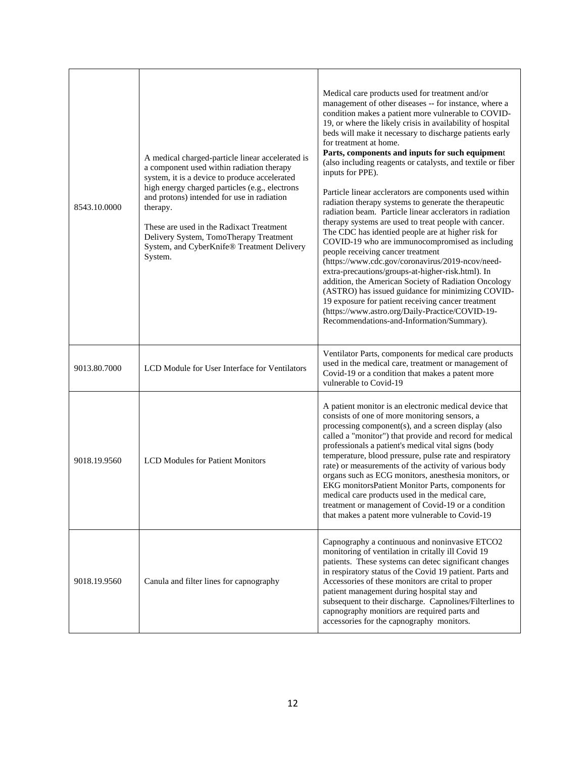| 8543.10.0000 | A medical charged-particle linear accelerated is<br>a component used within radiation therapy<br>system, it is a device to produce accelerated<br>high energy charged particles (e.g., electrons<br>and protons) intended for use in radiation<br>therapy.<br>These are used in the Radixact Treatment<br>Delivery System, TomoTherapy Treatment<br>System, and CyberKnife® Treatment Delivery<br>System. | Medical care products used for treatment and/or<br>management of other diseases -- for instance, where a<br>condition makes a patient more vulnerable to COVID-<br>19, or where the likely crisis in availability of hospital<br>beds will make it necessary to discharge patients early<br>for treatment at home.<br>Parts, components and inputs for such equipment<br>(also including reagents or catalysts, and textile or fiber<br>inputs for PPE).<br>Particle linear acclerators are components used within<br>radiation therapy systems to generate the therapeutic<br>radiation beam. Particle linear acclerators in radiation<br>therapy systems are used to treat people with cancer.<br>The CDC has identied people are at higher risk for<br>COVID-19 who are immunocompromised as including<br>people receiving cancer treatment<br>(https://www.cdc.gov/coronavirus/2019-ncov/need-<br>extra-precautions/groups-at-higher-risk.html). In<br>addition, the American Society of Radiation Oncology<br>(ASTRO) has issued guidance for minimizing COVID-<br>19 exposure for patient receiving cancer treatment<br>(https://www.astro.org/Daily-Practice/COVID-19-<br>Recommendations-and-Information/Summary). |
|--------------|-----------------------------------------------------------------------------------------------------------------------------------------------------------------------------------------------------------------------------------------------------------------------------------------------------------------------------------------------------------------------------------------------------------|----------------------------------------------------------------------------------------------------------------------------------------------------------------------------------------------------------------------------------------------------------------------------------------------------------------------------------------------------------------------------------------------------------------------------------------------------------------------------------------------------------------------------------------------------------------------------------------------------------------------------------------------------------------------------------------------------------------------------------------------------------------------------------------------------------------------------------------------------------------------------------------------------------------------------------------------------------------------------------------------------------------------------------------------------------------------------------------------------------------------------------------------------------------------------------------------------------------------------|
| 9013.80.7000 | LCD Module for User Interface for Ventilators                                                                                                                                                                                                                                                                                                                                                             | Ventilator Parts, components for medical care products<br>used in the medical care, treatment or management of<br>Covid-19 or a condition that makes a patent more<br>vulnerable to Covid-19                                                                                                                                                                                                                                                                                                                                                                                                                                                                                                                                                                                                                                                                                                                                                                                                                                                                                                                                                                                                                               |
| 9018.19.9560 | <b>LCD Modules for Patient Monitors</b>                                                                                                                                                                                                                                                                                                                                                                   | A patient monitor is an electronic medical device that<br>consists of one of more monitoring sensors, a<br>processing component(s), and a screen display (also<br>called a "monitor") that provide and record for medical<br>professionals a patient's medical vital signs (body<br>temperature, blood pressure, pulse rate and respiratory<br>rate) or measurements of the activity of various body<br>organs such as ECG monitors, anesthesia monitors, or<br>EKG monitorsPatient Monitor Parts, components for<br>medical care products used in the medical care,<br>treatment or management of Covid-19 or a condition<br>that makes a patent more vulnerable to Covid-19                                                                                                                                                                                                                                                                                                                                                                                                                                                                                                                                              |
| 9018.19.9560 | Canula and filter lines for capnography                                                                                                                                                                                                                                                                                                                                                                   | Capnography a continuous and noninvasive ETCO2<br>monitoring of ventilation in critally ill Covid 19<br>patients. These systems can detec significant changes<br>in respiratory status of the Covid 19 patient. Parts and<br>Accessories of these monitors are crital to proper<br>patient management during hospital stay and<br>subsequent to their discharge. Capnolines/Filterlines to<br>capnography monitiors are required parts and<br>accessories for the capnography monitors.                                                                                                                                                                                                                                                                                                                                                                                                                                                                                                                                                                                                                                                                                                                                    |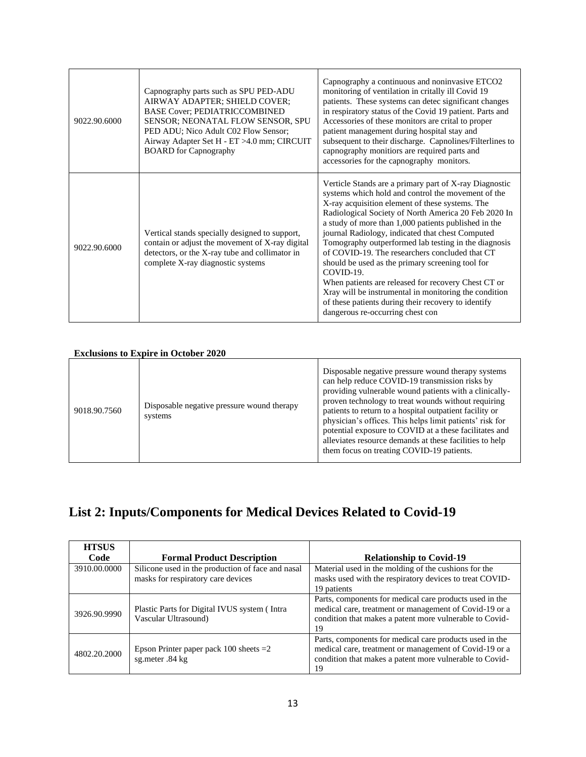| 9022.90.6000 | Capnography parts such as SPU PED-ADU<br>AIRWAY ADAPTER; SHIELD COVER;<br><b>BASE Cover: PEDIATRICCOMBINED</b><br>SENSOR; NEONATAL FLOW SENSOR, SPU<br>PED ADU; Nico Adult C02 Flow Sensor;<br>Airway Adapter Set H - ET >4.0 mm; CIRCUIT<br><b>BOARD</b> for Capnography | Capnography a continuous and noninvasive ETCO2<br>monitoring of ventilation in critally ill Covid 19<br>patients. These systems can detec significant changes<br>in respiratory status of the Covid 19 patient. Parts and<br>Accessories of these monitors are crital to proper<br>patient management during hospital stay and<br>subsequent to their discharge. Capnolines/Filterlines to<br>capnography monitiors are required parts and<br>accessories for the capnography monitors.                                                                                                                                                                                                                                    |
|--------------|---------------------------------------------------------------------------------------------------------------------------------------------------------------------------------------------------------------------------------------------------------------------------|----------------------------------------------------------------------------------------------------------------------------------------------------------------------------------------------------------------------------------------------------------------------------------------------------------------------------------------------------------------------------------------------------------------------------------------------------------------------------------------------------------------------------------------------------------------------------------------------------------------------------------------------------------------------------------------------------------------------------|
| 9022.90.6000 | Vertical stands specially designed to support,<br>contain or adjust the movement of X-ray digital<br>detectors, or the X-ray tube and collimator in<br>complete X-ray diagnostic systems                                                                                  | Verticle Stands are a primary part of X-ray Diagnostic<br>systems which hold and control the movement of the<br>X-ray acquisition element of these systems. The<br>Radiological Society of North America 20 Feb 2020 In<br>a study of more than 1,000 patients published in the<br>journal Radiology, indicated that chest Computed<br>Tomography outperformed lab testing in the diagnosis<br>of COVID-19. The researchers concluded that CT<br>should be used as the primary screening tool for<br>$COVID-19$<br>When patients are released for recovery Chest CT or<br>Xray will be instrumental in monitoring the condition<br>of these patients during their recovery to identify<br>dangerous re-occurring chest con |

#### **Exclusions to Expire in October 2020**

| 9018.90.7560 | Disposable negative pressure wound therapy<br>systems | Disposable negative pressure wound therapy systems<br>can help reduce COVID-19 transmission risks by<br>providing vulnerable wound patients with a clinically-<br>proven technology to treat wounds without requiring<br>patients to return to a hospital outpatient facility or<br>physician's offices. This helps limit patients' risk for<br>potential exposure to COVID at a these facilitates and<br>alleviates resource demands at these facilities to help<br>them focus on treating COVID-19 patients. |
|--------------|-------------------------------------------------------|----------------------------------------------------------------------------------------------------------------------------------------------------------------------------------------------------------------------------------------------------------------------------------------------------------------------------------------------------------------------------------------------------------------------------------------------------------------------------------------------------------------|
|--------------|-------------------------------------------------------|----------------------------------------------------------------------------------------------------------------------------------------------------------------------------------------------------------------------------------------------------------------------------------------------------------------------------------------------------------------------------------------------------------------------------------------------------------------------------------------------------------------|

# **List 2: Inputs/Components for Medical Devices Related to Covid-19**

| <b>HTSUS</b> |                                                                                         |                                                                                                                                                                                    |
|--------------|-----------------------------------------------------------------------------------------|------------------------------------------------------------------------------------------------------------------------------------------------------------------------------------|
| Code         | <b>Formal Product Description</b>                                                       | <b>Relationship to Covid-19</b>                                                                                                                                                    |
| 3910.00.0000 | Silicone used in the production of face and nasal<br>masks for respiratory care devices | Material used in the molding of the cushions for the<br>masks used with the respiratory devices to treat COVID-<br>19 patients                                                     |
| 3926.90.9990 | Plastic Parts for Digital IVUS system (Intra<br>Vascular Ultrasound)                    | Parts, components for medical care products used in the<br>medical care, treatment or management of Covid-19 or a<br>condition that makes a patent more vulnerable to Covid-<br>19 |
| 4802.20.2000 | Epson Printer paper pack $100$ sheets $=2$<br>sg.meter .84 kg                           | Parts, components for medical care products used in the<br>medical care, treatment or management of Covid-19 or a<br>condition that makes a patent more vulnerable to Covid-<br>19 |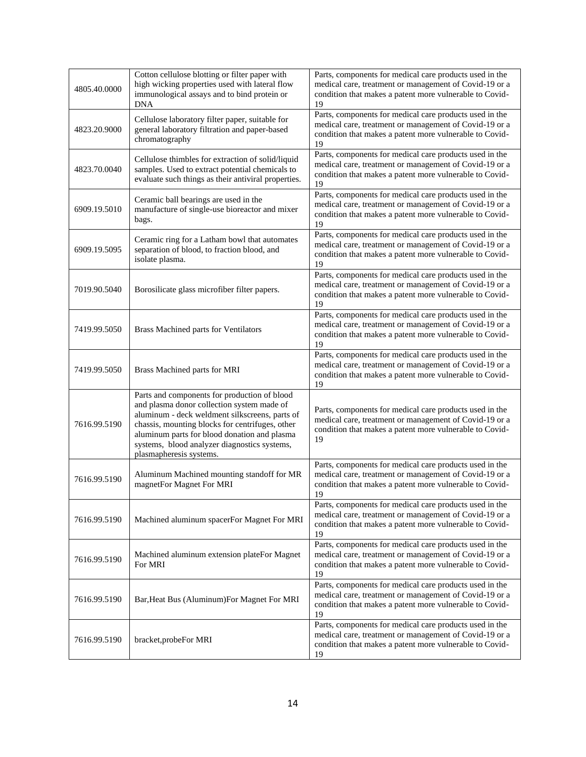| 4805.40.0000 | Cotton cellulose blotting or filter paper with<br>high wicking properties used with lateral flow<br>immunological assays and to bind protein or<br><b>DNA</b>                                                                                                                                                              | Parts, components for medical care products used in the<br>medical care, treatment or management of Covid-19 or a<br>condition that makes a patent more vulnerable to Covid-<br>19 |
|--------------|----------------------------------------------------------------------------------------------------------------------------------------------------------------------------------------------------------------------------------------------------------------------------------------------------------------------------|------------------------------------------------------------------------------------------------------------------------------------------------------------------------------------|
| 4823.20.9000 | Cellulose laboratory filter paper, suitable for<br>general laboratory filtration and paper-based<br>chromatography                                                                                                                                                                                                         | Parts, components for medical care products used in the<br>medical care, treatment or management of Covid-19 or a<br>condition that makes a patent more vulnerable to Covid-<br>19 |
| 4823.70.0040 | Cellulose thimbles for extraction of solid/liquid<br>samples. Used to extract potential chemicals to<br>evaluate such things as their antiviral properties.                                                                                                                                                                | Parts, components for medical care products used in the<br>medical care, treatment or management of Covid-19 or a<br>condition that makes a patent more vulnerable to Covid-<br>19 |
| 6909.19.5010 | Ceramic ball bearings are used in the<br>manufacture of single-use bioreactor and mixer<br>bags.                                                                                                                                                                                                                           | Parts, components for medical care products used in the<br>medical care, treatment or management of Covid-19 or a<br>condition that makes a patent more vulnerable to Covid-<br>19 |
| 6909.19.5095 | Ceramic ring for a Latham bowl that automates<br>separation of blood, to fraction blood, and<br>isolate plasma.                                                                                                                                                                                                            | Parts, components for medical care products used in the<br>medical care, treatment or management of Covid-19 or a<br>condition that makes a patent more vulnerable to Covid-<br>19 |
| 7019.90.5040 | Borosilicate glass microfiber filter papers.                                                                                                                                                                                                                                                                               | Parts, components for medical care products used in the<br>medical care, treatment or management of Covid-19 or a<br>condition that makes a patent more vulnerable to Covid-<br>19 |
| 7419.99.5050 | Brass Machined parts for Ventilators                                                                                                                                                                                                                                                                                       | Parts, components for medical care products used in the<br>medical care, treatment or management of Covid-19 or a<br>condition that makes a patent more vulnerable to Covid-<br>19 |
| 7419.99.5050 | Brass Machined parts for MRI                                                                                                                                                                                                                                                                                               | Parts, components for medical care products used in the<br>medical care, treatment or management of Covid-19 or a<br>condition that makes a patent more vulnerable to Covid-<br>19 |
| 7616.99.5190 | Parts and components for production of blood<br>and plasma donor collection system made of<br>aluminum - deck weldment silkscreens, parts of<br>chassis, mounting blocks for centrifuges, other<br>aluminum parts for blood donation and plasma<br>systems, blood analyzer diagnostics systems,<br>plasmapheresis systems. | Parts, components for medical care products used in the<br>medical care, treatment or management of Covid-19 or a<br>condition that makes a patent more vulnerable to Covid-<br>19 |
| 7616.99.5190 | Aluminum Machined mounting standoff for MR<br>magnetFor Magnet For MRI                                                                                                                                                                                                                                                     | Parts, components for medical care products used in the<br>medical care, treatment or management of Covid-19 or a<br>condition that makes a patent more vulnerable to Covid-<br>19 |
| 7616.99.5190 | Machined aluminum spacerFor Magnet For MRI                                                                                                                                                                                                                                                                                 | Parts, components for medical care products used in the<br>medical care, treatment or management of Covid-19 or a<br>condition that makes a patent more vulnerable to Covid-<br>19 |
| 7616.99.5190 | Machined aluminum extension plateFor Magnet<br>For MRI                                                                                                                                                                                                                                                                     | Parts, components for medical care products used in the<br>medical care, treatment or management of Covid-19 or a<br>condition that makes a patent more vulnerable to Covid-<br>19 |
| 7616.99.5190 | Bar, Heat Bus (Aluminum) For Magnet For MRI                                                                                                                                                                                                                                                                                | Parts, components for medical care products used in the<br>medical care, treatment or management of Covid-19 or a<br>condition that makes a patent more vulnerable to Covid-<br>19 |
| 7616.99.5190 | bracket, probeFor MRI                                                                                                                                                                                                                                                                                                      | Parts, components for medical care products used in the<br>medical care, treatment or management of Covid-19 or a<br>condition that makes a patent more vulnerable to Covid-<br>19 |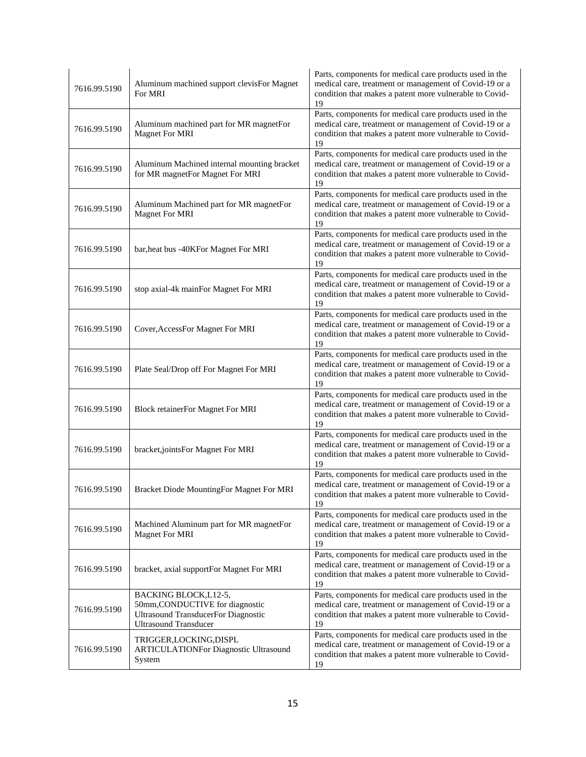| 7616.99.5190 | Aluminum machined support clevisFor Magnet<br>For MRI                                                                                  | Parts, components for medical care products used in the<br>medical care, treatment or management of Covid-19 or a<br>condition that makes a patent more vulnerable to Covid-<br>19 |
|--------------|----------------------------------------------------------------------------------------------------------------------------------------|------------------------------------------------------------------------------------------------------------------------------------------------------------------------------------|
| 7616.99.5190 | Aluminum machined part for MR magnetFor<br><b>Magnet For MRI</b>                                                                       | Parts, components for medical care products used in the<br>medical care, treatment or management of Covid-19 or a<br>condition that makes a patent more vulnerable to Covid-<br>19 |
| 7616.99.5190 | Aluminum Machined internal mounting bracket<br>for MR magnetFor Magnet For MRI                                                         | Parts, components for medical care products used in the<br>medical care, treatment or management of Covid-19 or a<br>condition that makes a patent more vulnerable to Covid-<br>19 |
| 7616.99.5190 | Aluminum Machined part for MR magnetFor<br><b>Magnet For MRI</b>                                                                       | Parts, components for medical care products used in the<br>medical care, treatment or management of Covid-19 or a<br>condition that makes a patent more vulnerable to Covid-<br>19 |
| 7616.99.5190 | bar, heat bus -40KFor Magnet For MRI                                                                                                   | Parts, components for medical care products used in the<br>medical care, treatment or management of Covid-19 or a<br>condition that makes a patent more vulnerable to Covid-<br>19 |
| 7616.99.5190 | stop axial-4k mainFor Magnet For MRI                                                                                                   | Parts, components for medical care products used in the<br>medical care, treatment or management of Covid-19 or a<br>condition that makes a patent more vulnerable to Covid-<br>19 |
| 7616.99.5190 | Cover, AccessFor Magnet For MRI                                                                                                        | Parts, components for medical care products used in the<br>medical care, treatment or management of Covid-19 or a<br>condition that makes a patent more vulnerable to Covid-<br>19 |
| 7616.99.5190 | Plate Seal/Drop off For Magnet For MRI                                                                                                 | Parts, components for medical care products used in the<br>medical care, treatment or management of Covid-19 or a<br>condition that makes a patent more vulnerable to Covid-<br>19 |
| 7616.99.5190 | <b>Block retainerFor Magnet For MRI</b>                                                                                                | Parts, components for medical care products used in the<br>medical care, treatment or management of Covid-19 or a<br>condition that makes a patent more vulnerable to Covid-<br>19 |
| 7616.99.5190 | bracket,jointsFor Magnet For MRI                                                                                                       | Parts, components for medical care products used in the<br>medical care, treatment or management of Covid-19 or a<br>condition that makes a patent more vulnerable to Covid-<br>19 |
| 7616.99.5190 | Bracket Diode MountingFor Magnet For MRI                                                                                               | Parts, components for medical care products used in the<br>medical care, treatment or management of Covid-19 or a<br>condition that makes a patent more vulnerable to Covid-<br>19 |
| 7616.99.5190 | Machined Aluminum part for MR magnetFor<br><b>Magnet For MRI</b>                                                                       | Parts, components for medical care products used in the<br>medical care, treatment or management of Covid-19 or a<br>condition that makes a patent more vulnerable to Covid-<br>19 |
| 7616.99.5190 | bracket, axial supportFor Magnet For MRI                                                                                               | Parts, components for medical care products used in the<br>medical care, treatment or management of Covid-19 or a<br>condition that makes a patent more vulnerable to Covid-<br>19 |
| 7616.99.5190 | BACKING BLOCK, L12-5,<br>50mm, CONDUCTIVE for diagnostic<br><b>Ultrasound TransducerFor Diagnostic</b><br><b>Ultrasound Transducer</b> | Parts, components for medical care products used in the<br>medical care, treatment or management of Covid-19 or a<br>condition that makes a patent more vulnerable to Covid-<br>19 |
| 7616.99.5190 | TRIGGER,LOCKING,DISPL<br><b>ARTICULATIONFor Diagnostic Ultrasound</b><br>System                                                        | Parts, components for medical care products used in the<br>medical care, treatment or management of Covid-19 or a<br>condition that makes a patent more vulnerable to Covid-<br>19 |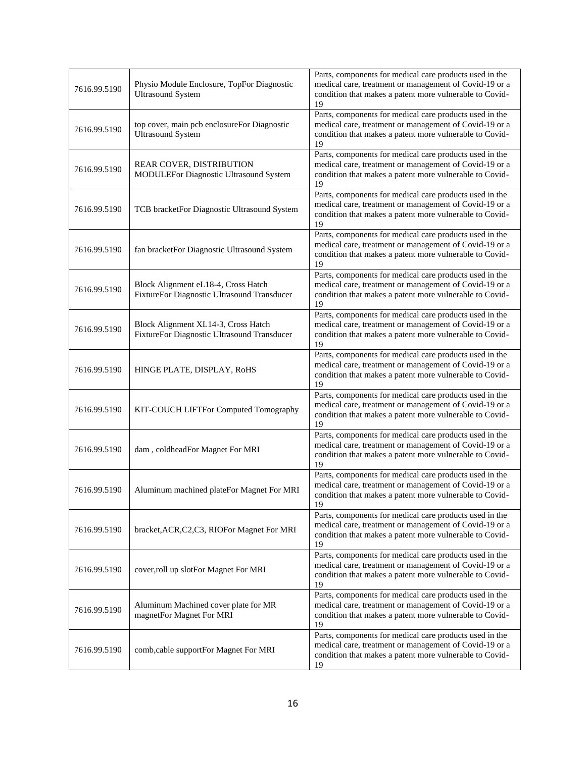| 7616.99.5190 | Physio Module Enclosure, TopFor Diagnostic<br><b>Ultrasound System</b>             | Parts, components for medical care products used in the<br>medical care, treatment or management of Covid-19 or a<br>condition that makes a patent more vulnerable to Covid-<br>19 |
|--------------|------------------------------------------------------------------------------------|------------------------------------------------------------------------------------------------------------------------------------------------------------------------------------|
| 7616.99.5190 | top cover, main pcb enclosureFor Diagnostic<br><b>Ultrasound System</b>            | Parts, components for medical care products used in the<br>medical care, treatment or management of Covid-19 or a<br>condition that makes a patent more vulnerable to Covid-<br>19 |
| 7616.99.5190 | REAR COVER, DISTRIBUTION<br>MODULEFor Diagnostic Ultrasound System                 | Parts, components for medical care products used in the<br>medical care, treatment or management of Covid-19 or a<br>condition that makes a patent more vulnerable to Covid-<br>19 |
| 7616.99.5190 | TCB bracketFor Diagnostic Ultrasound System                                        | Parts, components for medical care products used in the<br>medical care, treatment or management of Covid-19 or a<br>condition that makes a patent more vulnerable to Covid-<br>19 |
| 7616.99.5190 | fan bracketFor Diagnostic Ultrasound System                                        | Parts, components for medical care products used in the<br>medical care, treatment or management of Covid-19 or a<br>condition that makes a patent more vulnerable to Covid-<br>19 |
| 7616.99.5190 | Block Alignment eL18-4, Cross Hatch<br>FixtureFor Diagnostic Ultrasound Transducer | Parts, components for medical care products used in the<br>medical care, treatment or management of Covid-19 or a<br>condition that makes a patent more vulnerable to Covid-<br>19 |
| 7616.99.5190 | Block Alignment XL14-3, Cross Hatch<br>FixtureFor Diagnostic Ultrasound Transducer | Parts, components for medical care products used in the<br>medical care, treatment or management of Covid-19 or a<br>condition that makes a patent more vulnerable to Covid-<br>19 |
| 7616.99.5190 | HINGE PLATE, DISPLAY, RoHS                                                         | Parts, components for medical care products used in the<br>medical care, treatment or management of Covid-19 or a<br>condition that makes a patent more vulnerable to Covid-<br>19 |
| 7616.99.5190 | KIT-COUCH LIFTFor Computed Tomography                                              | Parts, components for medical care products used in the<br>medical care, treatment or management of Covid-19 or a<br>condition that makes a patent more vulnerable to Covid-<br>19 |
| 7616.99.5190 | dam, coldheadFor Magnet For MRI                                                    | Parts, components for medical care products used in the<br>medical care, treatment or management of Covid-19 or a<br>condition that makes a patent more vulnerable to Covid-<br>19 |
| 7616.99.5190 | Aluminum machined plateFor Magnet For MRI                                          | Parts, components for medical care products used in the<br>medical care, treatment or management of Covid-19 or a<br>condition that makes a patent more vulnerable to Covid-<br>19 |
| 7616.99.5190 | bracket, ACR, C2, C3, RIOF or Magnet For MRI                                       | Parts, components for medical care products used in the<br>medical care, treatment or management of Covid-19 or a<br>condition that makes a patent more vulnerable to Covid-<br>19 |
| 7616.99.5190 | cover, roll up slotFor Magnet For MRI                                              | Parts, components for medical care products used in the<br>medical care, treatment or management of Covid-19 or a<br>condition that makes a patent more vulnerable to Covid-<br>19 |
| 7616.99.5190 | Aluminum Machined cover plate for MR<br>magnetFor Magnet For MRI                   | Parts, components for medical care products used in the<br>medical care, treatment or management of Covid-19 or a<br>condition that makes a patent more vulnerable to Covid-<br>19 |
| 7616.99.5190 | comb, cable supportFor Magnet For MRI                                              | Parts, components for medical care products used in the<br>medical care, treatment or management of Covid-19 or a<br>condition that makes a patent more vulnerable to Covid-<br>19 |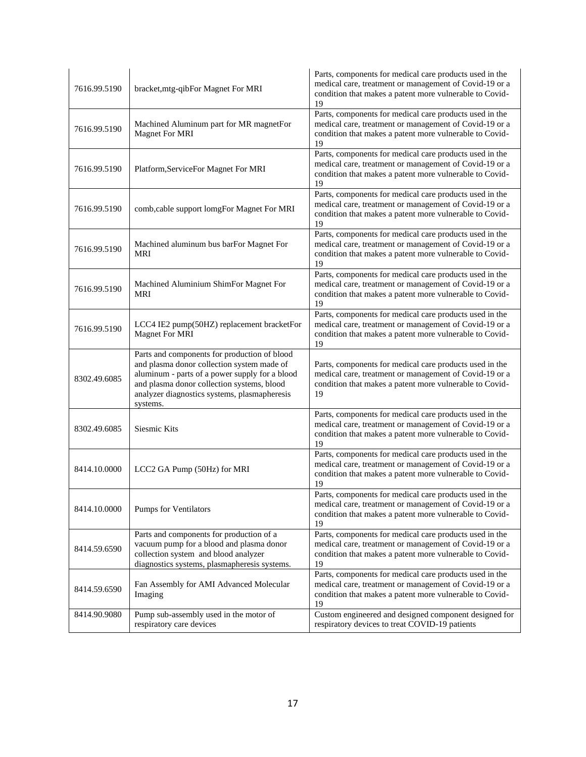| 7616.99.5190 | bracket, mtg-qibFor Magnet For MRI                                                                                                                                                                                                                     | Parts, components for medical care products used in the<br>medical care, treatment or management of Covid-19 or a<br>condition that makes a patent more vulnerable to Covid-<br>19 |
|--------------|--------------------------------------------------------------------------------------------------------------------------------------------------------------------------------------------------------------------------------------------------------|------------------------------------------------------------------------------------------------------------------------------------------------------------------------------------|
| 7616.99.5190 | Machined Aluminum part for MR magnetFor<br>Magnet For MRI                                                                                                                                                                                              | Parts, components for medical care products used in the<br>medical care, treatment or management of Covid-19 or a<br>condition that makes a patent more vulnerable to Covid-<br>19 |
| 7616.99.5190 | Platform, ServiceFor Magnet For MRI                                                                                                                                                                                                                    | Parts, components for medical care products used in the<br>medical care, treatment or management of Covid-19 or a<br>condition that makes a patent more vulnerable to Covid-<br>19 |
| 7616.99.5190 | comb, cable support lomgFor Magnet For MRI                                                                                                                                                                                                             | Parts, components for medical care products used in the<br>medical care, treatment or management of Covid-19 or a<br>condition that makes a patent more vulnerable to Covid-<br>19 |
| 7616.99.5190 | Machined aluminum bus barFor Magnet For<br><b>MRI</b>                                                                                                                                                                                                  | Parts, components for medical care products used in the<br>medical care, treatment or management of Covid-19 or a<br>condition that makes a patent more vulnerable to Covid-<br>19 |
| 7616.99.5190 | Machined Aluminium ShimFor Magnet For<br>MRI                                                                                                                                                                                                           | Parts, components for medical care products used in the<br>medical care, treatment or management of Covid-19 or a<br>condition that makes a patent more vulnerable to Covid-<br>19 |
| 7616.99.5190 | LCC4 IE2 pump(50HZ) replacement bracketFor<br><b>Magnet For MRI</b>                                                                                                                                                                                    | Parts, components for medical care products used in the<br>medical care, treatment or management of Covid-19 or a<br>condition that makes a patent more vulnerable to Covid-<br>19 |
| 8302.49.6085 | Parts and components for production of blood<br>and plasma donor collection system made of<br>aluminum - parts of a power supply for a blood<br>and plasma donor collection systems, blood<br>analyzer diagnostics systems, plasmapheresis<br>systems. | Parts, components for medical care products used in the<br>medical care, treatment or management of Covid-19 or a<br>condition that makes a patent more vulnerable to Covid-<br>19 |
| 8302.49.6085 | Siesmic Kits                                                                                                                                                                                                                                           | Parts, components for medical care products used in the<br>medical care, treatment or management of Covid-19 or a<br>condition that makes a patent more vulnerable to Covid-<br>19 |
| 8414.10.0000 | LCC2 GA Pump (50Hz) for MRI                                                                                                                                                                                                                            | Parts, components for medical care products used in the<br>medical care, treatment or management of Covid-19 or a<br>condition that makes a patent more vulnerable to Covid-<br>19 |
| 8414.10.0000 | Pumps for Ventilators                                                                                                                                                                                                                                  | Parts, components for medical care products used in the<br>medical care, treatment or management of Covid-19 or a<br>condition that makes a patent more vulnerable to Covid-<br>19 |
| 8414.59.6590 | Parts and components for production of a<br>vacuum pump for a blood and plasma donor<br>collection system and blood analyzer<br>diagnostics systems, plasmapheresis systems.                                                                           | Parts, components for medical care products used in the<br>medical care, treatment or management of Covid-19 or a<br>condition that makes a patent more vulnerable to Covid-<br>19 |
| 8414.59.6590 | Fan Assembly for AMI Advanced Molecular<br>Imaging                                                                                                                                                                                                     | Parts, components for medical care products used in the<br>medical care, treatment or management of Covid-19 or a<br>condition that makes a patent more vulnerable to Covid-<br>19 |
| 8414.90.9080 | Pump sub-assembly used in the motor of<br>respiratory care devices                                                                                                                                                                                     | Custom engineered and designed component designed for<br>respiratory devices to treat COVID-19 patients                                                                            |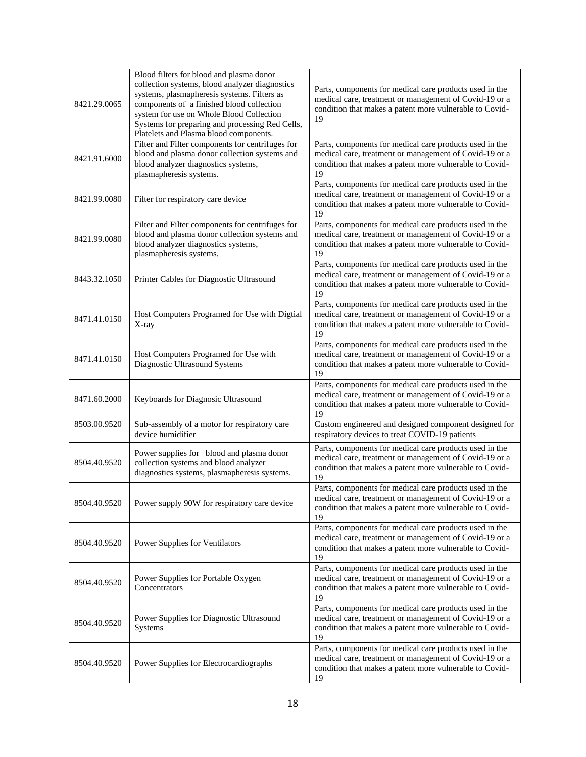| 8421.29.0065 | Blood filters for blood and plasma donor<br>collection systems, blood analyzer diagnostics<br>systems, plasmapheresis systems. Filters as<br>components of a finished blood collection<br>system for use on Whole Blood Collection<br>Systems for preparing and processing Red Cells,<br>Platelets and Plasma blood components. | Parts, components for medical care products used in the<br>medical care, treatment or management of Covid-19 or a<br>condition that makes a patent more vulnerable to Covid-<br>19 |
|--------------|---------------------------------------------------------------------------------------------------------------------------------------------------------------------------------------------------------------------------------------------------------------------------------------------------------------------------------|------------------------------------------------------------------------------------------------------------------------------------------------------------------------------------|
| 8421.91.6000 | Filter and Filter components for centrifuges for<br>blood and plasma donor collection systems and<br>blood analyzer diagnostics systems,<br>plasmapheresis systems.                                                                                                                                                             | Parts, components for medical care products used in the<br>medical care, treatment or management of Covid-19 or a<br>condition that makes a patent more vulnerable to Covid-<br>19 |
| 8421.99.0080 | Filter for respiratory care device                                                                                                                                                                                                                                                                                              | Parts, components for medical care products used in the<br>medical care, treatment or management of Covid-19 or a<br>condition that makes a patent more vulnerable to Covid-<br>19 |
| 8421.99.0080 | Filter and Filter components for centrifuges for<br>blood and plasma donor collection systems and<br>blood analyzer diagnostics systems,<br>plasmapheresis systems.                                                                                                                                                             | Parts, components for medical care products used in the<br>medical care, treatment or management of Covid-19 or a<br>condition that makes a patent more vulnerable to Covid-<br>19 |
| 8443.32.1050 | Printer Cables for Diagnostic Ultrasound                                                                                                                                                                                                                                                                                        | Parts, components for medical care products used in the<br>medical care, treatment or management of Covid-19 or a<br>condition that makes a patent more vulnerable to Covid-<br>19 |
| 8471.41.0150 | Host Computers Programed for Use with Digtial<br>X-ray                                                                                                                                                                                                                                                                          | Parts, components for medical care products used in the<br>medical care, treatment or management of Covid-19 or a<br>condition that makes a patent more vulnerable to Covid-<br>19 |
| 8471.41.0150 | Host Computers Programed for Use with<br>Diagnostic Ultrasound Systems                                                                                                                                                                                                                                                          | Parts, components for medical care products used in the<br>medical care, treatment or management of Covid-19 or a<br>condition that makes a patent more vulnerable to Covid-<br>19 |
| 8471.60.2000 | Keyboards for Diagnosic Ultrasound                                                                                                                                                                                                                                                                                              | Parts, components for medical care products used in the<br>medical care, treatment or management of Covid-19 or a<br>condition that makes a patent more vulnerable to Covid-<br>19 |
| 8503.00.9520 | Sub-assembly of a motor for respiratory care<br>device humidifier                                                                                                                                                                                                                                                               | Custom engineered and designed component designed for<br>respiratory devices to treat COVID-19 patients                                                                            |
| 8504.40.9520 | Power supplies for blood and plasma donor<br>collection systems and blood analyzer<br>diagnostics systems, plasmapheresis systems.                                                                                                                                                                                              | Parts, components for medical care products used in the<br>medical care, treatment or management of Covid-19 or a<br>condition that makes a patent more vulnerable to Covid-<br>19 |
| 8504.40.9520 | Power supply 90W for respiratory care device                                                                                                                                                                                                                                                                                    | Parts, components for medical care products used in the<br>medical care, treatment or management of Covid-19 or a<br>condition that makes a patent more vulnerable to Covid-<br>19 |
| 8504.40.9520 | Power Supplies for Ventilators                                                                                                                                                                                                                                                                                                  | Parts, components for medical care products used in the<br>medical care, treatment or management of Covid-19 or a<br>condition that makes a patent more vulnerable to Covid-<br>19 |
| 8504.40.9520 | Power Supplies for Portable Oxygen<br>Concentrators                                                                                                                                                                                                                                                                             | Parts, components for medical care products used in the<br>medical care, treatment or management of Covid-19 or a<br>condition that makes a patent more vulnerable to Covid-<br>19 |
| 8504.40.9520 | Power Supplies for Diagnostic Ultrasound<br>Systems                                                                                                                                                                                                                                                                             | Parts, components for medical care products used in the<br>medical care, treatment or management of Covid-19 or a<br>condition that makes a patent more vulnerable to Covid-<br>19 |
| 8504.40.9520 | Power Supplies for Electrocardiographs                                                                                                                                                                                                                                                                                          | Parts, components for medical care products used in the<br>medical care, treatment or management of Covid-19 or a<br>condition that makes a patent more vulnerable to Covid-<br>19 |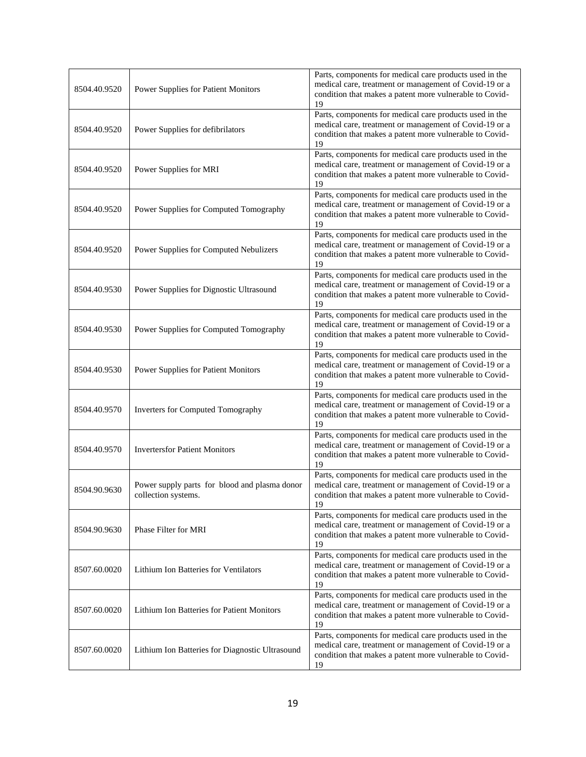| 8504.40.9520 | Power Supplies for Patient Monitors                                  | Parts, components for medical care products used in the<br>medical care, treatment or management of Covid-19 or a<br>condition that makes a patent more vulnerable to Covid-<br>19 |
|--------------|----------------------------------------------------------------------|------------------------------------------------------------------------------------------------------------------------------------------------------------------------------------|
| 8504.40.9520 | Power Supplies for defibrilators                                     | Parts, components for medical care products used in the<br>medical care, treatment or management of Covid-19 or a<br>condition that makes a patent more vulnerable to Covid-<br>19 |
| 8504.40.9520 | Power Supplies for MRI                                               | Parts, components for medical care products used in the<br>medical care, treatment or management of Covid-19 or a<br>condition that makes a patent more vulnerable to Covid-<br>19 |
| 8504.40.9520 | Power Supplies for Computed Tomography                               | Parts, components for medical care products used in the<br>medical care, treatment or management of Covid-19 or a<br>condition that makes a patent more vulnerable to Covid-<br>19 |
| 8504.40.9520 | Power Supplies for Computed Nebulizers                               | Parts, components for medical care products used in the<br>medical care, treatment or management of Covid-19 or a<br>condition that makes a patent more vulnerable to Covid-<br>19 |
| 8504.40.9530 | Power Supplies for Dignostic Ultrasound                              | Parts, components for medical care products used in the<br>medical care, treatment or management of Covid-19 or a<br>condition that makes a patent more vulnerable to Covid-<br>19 |
| 8504.40.9530 | Power Supplies for Computed Tomography                               | Parts, components for medical care products used in the<br>medical care, treatment or management of Covid-19 or a<br>condition that makes a patent more vulnerable to Covid-<br>19 |
| 8504.40.9530 | Power Supplies for Patient Monitors                                  | Parts, components for medical care products used in the<br>medical care, treatment or management of Covid-19 or a<br>condition that makes a patent more vulnerable to Covid-<br>19 |
| 8504.40.9570 | <b>Inverters for Computed Tomography</b>                             | Parts, components for medical care products used in the<br>medical care, treatment or management of Covid-19 or a<br>condition that makes a patent more vulnerable to Covid-<br>19 |
| 8504.40.9570 | <b>Invertersfor Patient Monitors</b>                                 | Parts, components for medical care products used in the<br>medical care, treatment or management of Covid-19 or a<br>condition that makes a patent more vulnerable to Covid-<br>19 |
| 8504.90.9630 | Power supply parts for blood and plasma donor<br>collection systems. | Parts, components for medical care products used in the<br>medical care, treatment or management of Covid-19 or a<br>condition that makes a patent more vulnerable to Covid-<br>19 |
| 8504.90.9630 | Phase Filter for MRI                                                 | Parts, components for medical care products used in the<br>medical care, treatment or management of Covid-19 or a<br>condition that makes a patent more vulnerable to Covid-<br>19 |
| 8507.60.0020 | Lithium Ion Batteries for Ventilators                                | Parts, components for medical care products used in the<br>medical care, treatment or management of Covid-19 or a<br>condition that makes a patent more vulnerable to Covid-<br>19 |
| 8507.60.0020 | Lithium Ion Batteries for Patient Monitors                           | Parts, components for medical care products used in the<br>medical care, treatment or management of Covid-19 or a<br>condition that makes a patent more vulnerable to Covid-<br>19 |
| 8507.60.0020 | Lithium Ion Batteries for Diagnostic Ultrasound                      | Parts, components for medical care products used in the<br>medical care, treatment or management of Covid-19 or a<br>condition that makes a patent more vulnerable to Covid-<br>19 |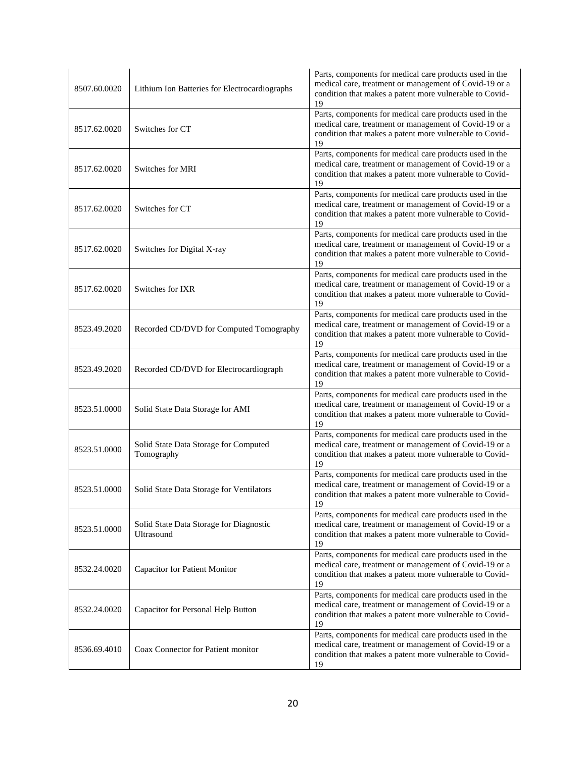| 8507.60.0020 | Lithium Ion Batteries for Electrocardiographs         | Parts, components for medical care products used in the<br>medical care, treatment or management of Covid-19 or a<br>condition that makes a patent more vulnerable to Covid-<br>19 |
|--------------|-------------------------------------------------------|------------------------------------------------------------------------------------------------------------------------------------------------------------------------------------|
| 8517.62.0020 | Switches for CT                                       | Parts, components for medical care products used in the<br>medical care, treatment or management of Covid-19 or a<br>condition that makes a patent more vulnerable to Covid-<br>19 |
| 8517.62.0020 | Switches for MRI                                      | Parts, components for medical care products used in the<br>medical care, treatment or management of Covid-19 or a<br>condition that makes a patent more vulnerable to Covid-<br>19 |
| 8517.62.0020 | Switches for CT                                       | Parts, components for medical care products used in the<br>medical care, treatment or management of Covid-19 or a<br>condition that makes a patent more vulnerable to Covid-<br>19 |
| 8517.62.0020 | Switches for Digital X-ray                            | Parts, components for medical care products used in the<br>medical care, treatment or management of Covid-19 or a<br>condition that makes a patent more vulnerable to Covid-<br>19 |
| 8517.62.0020 | Switches for IXR                                      | Parts, components for medical care products used in the<br>medical care, treatment or management of Covid-19 or a<br>condition that makes a patent more vulnerable to Covid-<br>19 |
| 8523.49.2020 | Recorded CD/DVD for Computed Tomography               | Parts, components for medical care products used in the<br>medical care, treatment or management of Covid-19 or a<br>condition that makes a patent more vulnerable to Covid-<br>19 |
| 8523.49.2020 | Recorded CD/DVD for Electrocardiograph                | Parts, components for medical care products used in the<br>medical care, treatment or management of Covid-19 or a<br>condition that makes a patent more vulnerable to Covid-<br>19 |
| 8523.51.0000 | Solid State Data Storage for AMI                      | Parts, components for medical care products used in the<br>medical care, treatment or management of Covid-19 or a<br>condition that makes a patent more vulnerable to Covid-<br>19 |
| 8523.51.0000 | Solid State Data Storage for Computed<br>Tomography   | Parts, components for medical care products used in the<br>medical care, treatment or management of Covid-19 or a<br>condition that makes a patent more vulnerable to Covid-<br>19 |
| 8523.51.0000 | Solid State Data Storage for Ventilators              | Parts, components for medical care products used in the<br>medical care, treatment or management of Covid-19 or a<br>condition that makes a patent more vulnerable to Covid-<br>19 |
| 8523.51.0000 | Solid State Data Storage for Diagnostic<br>Ultrasound | Parts, components for medical care products used in the<br>medical care, treatment or management of Covid-19 or a<br>condition that makes a patent more vulnerable to Covid-<br>19 |
| 8532.24.0020 | <b>Capacitor for Patient Monitor</b>                  | Parts, components for medical care products used in the<br>medical care, treatment or management of Covid-19 or a<br>condition that makes a patent more vulnerable to Covid-<br>19 |
| 8532.24.0020 | Capacitor for Personal Help Button                    | Parts, components for medical care products used in the<br>medical care, treatment or management of Covid-19 or a<br>condition that makes a patent more vulnerable to Covid-<br>19 |
| 8536.69.4010 | Coax Connector for Patient monitor                    | Parts, components for medical care products used in the<br>medical care, treatment or management of Covid-19 or a<br>condition that makes a patent more vulnerable to Covid-<br>19 |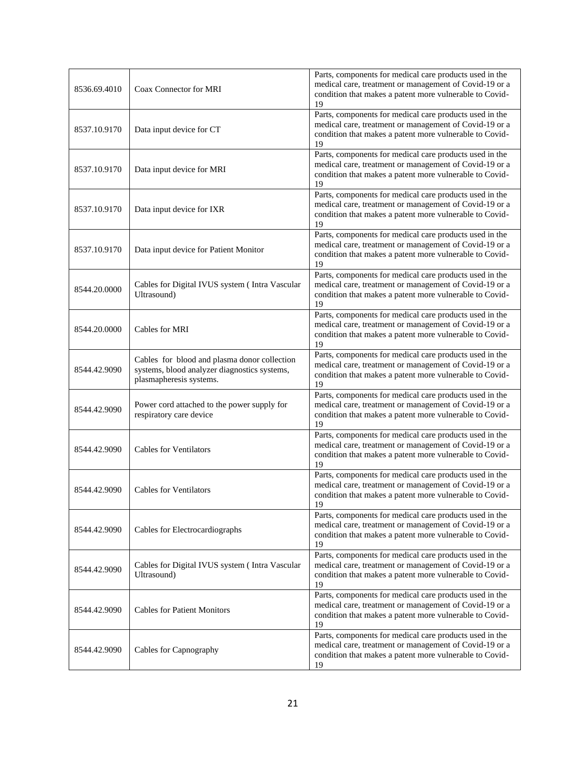| 8536.69.4010 | Coax Connector for MRI                                                                                                  | Parts, components for medical care products used in the<br>medical care, treatment or management of Covid-19 or a<br>condition that makes a patent more vulnerable to Covid-<br>19 |
|--------------|-------------------------------------------------------------------------------------------------------------------------|------------------------------------------------------------------------------------------------------------------------------------------------------------------------------------|
| 8537.10.9170 | Data input device for CT                                                                                                | Parts, components for medical care products used in the<br>medical care, treatment or management of Covid-19 or a<br>condition that makes a patent more vulnerable to Covid-<br>19 |
| 8537.10.9170 | Data input device for MRI                                                                                               | Parts, components for medical care products used in the<br>medical care, treatment or management of Covid-19 or a<br>condition that makes a patent more vulnerable to Covid-<br>19 |
| 8537.10.9170 | Data input device for IXR                                                                                               | Parts, components for medical care products used in the<br>medical care, treatment or management of Covid-19 or a<br>condition that makes a patent more vulnerable to Covid-<br>19 |
| 8537.10.9170 | Data input device for Patient Monitor                                                                                   | Parts, components for medical care products used in the<br>medical care, treatment or management of Covid-19 or a<br>condition that makes a patent more vulnerable to Covid-<br>19 |
| 8544.20.0000 | Cables for Digital IVUS system (Intra Vascular<br>Ultrasound)                                                           | Parts, components for medical care products used in the<br>medical care, treatment or management of Covid-19 or a<br>condition that makes a patent more vulnerable to Covid-<br>19 |
| 8544.20.0000 | Cables for MRI                                                                                                          | Parts, components for medical care products used in the<br>medical care, treatment or management of Covid-19 or a<br>condition that makes a patent more vulnerable to Covid-<br>19 |
| 8544.42.9090 | Cables for blood and plasma donor collection<br>systems, blood analyzer diagnostics systems,<br>plasmapheresis systems. | Parts, components for medical care products used in the<br>medical care, treatment or management of Covid-19 or a<br>condition that makes a patent more vulnerable to Covid-<br>19 |
| 8544.42.9090 | Power cord attached to the power supply for<br>respiratory care device                                                  | Parts, components for medical care products used in the<br>medical care, treatment or management of Covid-19 or a<br>condition that makes a patent more vulnerable to Covid-<br>19 |
| 8544.42.9090 | <b>Cables for Ventilators</b>                                                                                           | Parts, components for medical care products used in the<br>medical care, treatment or management of Covid-19 or a<br>condition that makes a patent more vulnerable to Covid-<br>19 |
| 8544.42.9090 | <b>Cables for Ventilators</b>                                                                                           | Parts, components for medical care products used in the<br>medical care, treatment or management of Covid-19 or a<br>condition that makes a patent more vulnerable to Covid-<br>19 |
| 8544.42.9090 | Cables for Electrocardiographs                                                                                          | Parts, components for medical care products used in the<br>medical care, treatment or management of Covid-19 or a<br>condition that makes a patent more vulnerable to Covid-<br>19 |
| 8544.42.9090 | Cables for Digital IVUS system (Intra Vascular<br>Ultrasound)                                                           | Parts, components for medical care products used in the<br>medical care, treatment or management of Covid-19 or a<br>condition that makes a patent more vulnerable to Covid-<br>19 |
| 8544.42.9090 | <b>Cables for Patient Monitors</b>                                                                                      | Parts, components for medical care products used in the<br>medical care, treatment or management of Covid-19 or a<br>condition that makes a patent more vulnerable to Covid-<br>19 |
| 8544.42.9090 | Cables for Capnography                                                                                                  | Parts, components for medical care products used in the<br>medical care, treatment or management of Covid-19 or a<br>condition that makes a patent more vulnerable to Covid-<br>19 |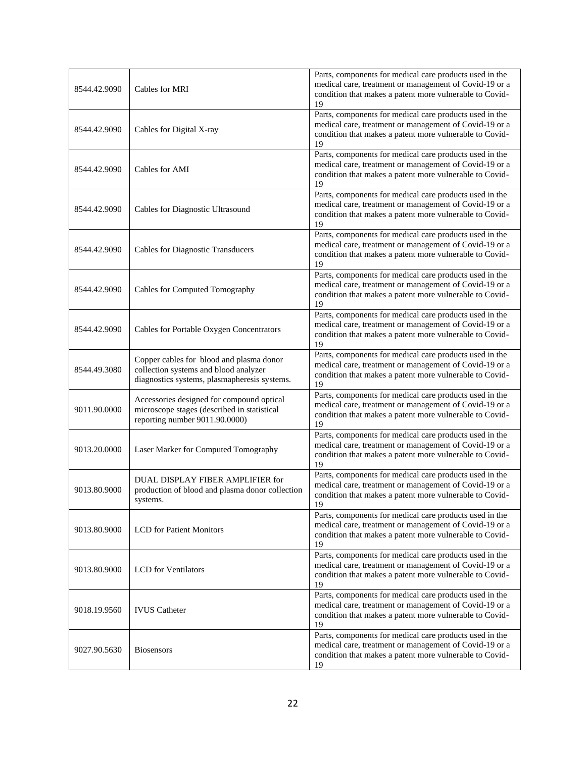| 8544.42.9090 | Cables for MRI                                                                                                                    | Parts, components for medical care products used in the<br>medical care, treatment or management of Covid-19 or a<br>condition that makes a patent more vulnerable to Covid-<br>19 |
|--------------|-----------------------------------------------------------------------------------------------------------------------------------|------------------------------------------------------------------------------------------------------------------------------------------------------------------------------------|
| 8544.42.9090 | Cables for Digital X-ray                                                                                                          | Parts, components for medical care products used in the<br>medical care, treatment or management of Covid-19 or a<br>condition that makes a patent more vulnerable to Covid-<br>19 |
| 8544.42.9090 | Cables for AMI                                                                                                                    | Parts, components for medical care products used in the<br>medical care, treatment or management of Covid-19 or a<br>condition that makes a patent more vulnerable to Covid-<br>19 |
| 8544.42.9090 | Cables for Diagnostic Ultrasound                                                                                                  | Parts, components for medical care products used in the<br>medical care, treatment or management of Covid-19 or a<br>condition that makes a patent more vulnerable to Covid-<br>19 |
| 8544.42.9090 | <b>Cables for Diagnostic Transducers</b>                                                                                          | Parts, components for medical care products used in the<br>medical care, treatment or management of Covid-19 or a<br>condition that makes a patent more vulnerable to Covid-<br>19 |
| 8544.42.9090 | Cables for Computed Tomography                                                                                                    | Parts, components for medical care products used in the<br>medical care, treatment or management of Covid-19 or a<br>condition that makes a patent more vulnerable to Covid-<br>19 |
| 8544.42.9090 | Cables for Portable Oxygen Concentrators                                                                                          | Parts, components for medical care products used in the<br>medical care, treatment or management of Covid-19 or a<br>condition that makes a patent more vulnerable to Covid-<br>19 |
| 8544.49.3080 | Copper cables for blood and plasma donor<br>collection systems and blood analyzer<br>diagnostics systems, plasmapheresis systems. | Parts, components for medical care products used in the<br>medical care, treatment or management of Covid-19 or a<br>condition that makes a patent more vulnerable to Covid-<br>19 |
| 9011.90.0000 | Accessories designed for compound optical<br>microscope stages (described in statistical<br>reporting number 9011.90.0000)        | Parts, components for medical care products used in the<br>medical care, treatment or management of Covid-19 or a<br>condition that makes a patent more vulnerable to Covid-<br>19 |
| 9013.20.0000 | Laser Marker for Computed Tomography                                                                                              | Parts, components for medical care products used in the<br>medical care, treatment or management of Covid-19 or a<br>condition that makes a patent more vulnerable to Covid-<br>19 |
| 9013.80.9000 | DUAL DISPLAY FIBER AMPLIFIER for<br>production of blood and plasma donor collection<br>systems.                                   | Parts, components for medical care products used in the<br>medical care, treatment or management of Covid-19 or a<br>condition that makes a patent more vulnerable to Covid-<br>19 |
| 9013.80.9000 | <b>LCD</b> for Patient Monitors                                                                                                   | Parts, components for medical care products used in the<br>medical care, treatment or management of Covid-19 or a<br>condition that makes a patent more vulnerable to Covid-<br>19 |
| 9013.80.9000 | <b>LCD</b> for Ventilators                                                                                                        | Parts, components for medical care products used in the<br>medical care, treatment or management of Covid-19 or a<br>condition that makes a patent more vulnerable to Covid-<br>19 |
| 9018.19.9560 | <b>IVUS</b> Catheter                                                                                                              | Parts, components for medical care products used in the<br>medical care, treatment or management of Covid-19 or a<br>condition that makes a patent more vulnerable to Covid-<br>19 |
| 9027.90.5630 | <b>Biosensors</b>                                                                                                                 | Parts, components for medical care products used in the<br>medical care, treatment or management of Covid-19 or a<br>condition that makes a patent more vulnerable to Covid-<br>19 |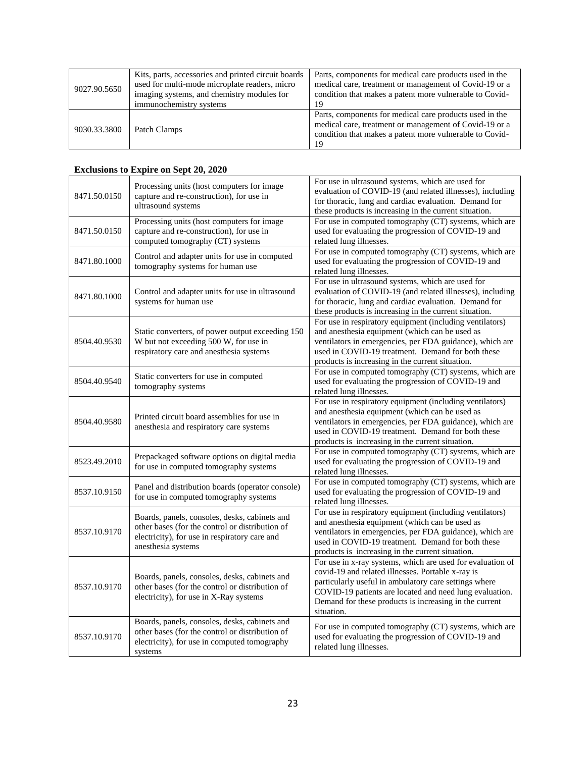| 9027.90.5650 | Kits, parts, accessories and printed circuit boards<br>used for multi-mode microplate readers, micro<br>imaging systems, and chemistry modules for<br>immunochemistry systems | Parts, components for medical care products used in the<br>medical care, treatment or management of Covid-19 or a<br>condition that makes a patent more vulnerable to Covid-<br>19 |
|--------------|-------------------------------------------------------------------------------------------------------------------------------------------------------------------------------|------------------------------------------------------------------------------------------------------------------------------------------------------------------------------------|
| 9030.33.3800 | Patch Clamps                                                                                                                                                                  | Parts, components for medical care products used in the<br>medical care, treatment or management of Covid-19 or a<br>condition that makes a patent more vulnerable to Covid-<br>19 |

#### **Exclusions to Expire on Sept 20, 2020**

| 8471.50.0150 | Processing units (host computers for image<br>capture and re-construction), for use in<br>ultrasound systems                                                            | For use in ultrasound systems, which are used for<br>evaluation of COVID-19 (and related illnesses), including<br>for thoracic, lung and cardiac evaluation. Demand for<br>these products is increasing in the current situation.                                                                           |
|--------------|-------------------------------------------------------------------------------------------------------------------------------------------------------------------------|-------------------------------------------------------------------------------------------------------------------------------------------------------------------------------------------------------------------------------------------------------------------------------------------------------------|
| 8471.50.0150 | Processing units (host computers for image<br>capture and re-construction), for use in<br>computed tomography (CT) systems                                              | For use in computed tomography (CT) systems, which are<br>used for evaluating the progression of COVID-19 and<br>related lung illnesses.                                                                                                                                                                    |
| 8471.80.1000 | Control and adapter units for use in computed<br>tomography systems for human use                                                                                       | For use in computed tomography (CT) systems, which are<br>used for evaluating the progression of COVID-19 and<br>related lung illnesses.                                                                                                                                                                    |
| 8471.80.1000 | Control and adapter units for use in ultrasound<br>systems for human use                                                                                                | For use in ultrasound systems, which are used for<br>evaluation of COVID-19 (and related illnesses), including<br>for thoracic, lung and cardiac evaluation. Demand for<br>these products is increasing in the current situation.                                                                           |
| 8504.40.9530 | Static converters, of power output exceeding 150<br>W but not exceeding 500 W, for use in<br>respiratory care and anesthesia systems                                    | For use in respiratory equipment (including ventilators)<br>and anesthesia equipment (which can be used as<br>ventilators in emergencies, per FDA guidance), which are<br>used in COVID-19 treatment. Demand for both these<br>products is increasing in the current situation.                             |
| 8504.40.9540 | Static converters for use in computed<br>tomography systems                                                                                                             | For use in computed tomography (CT) systems, which are<br>used for evaluating the progression of COVID-19 and<br>related lung illnesses.                                                                                                                                                                    |
| 8504.40.9580 | Printed circuit board assemblies for use in<br>anesthesia and respiratory care systems                                                                                  | For use in respiratory equipment (including ventilators)<br>and anesthesia equipment (which can be used as<br>ventilators in emergencies, per FDA guidance), which are<br>used in COVID-19 treatment. Demand for both these<br>products is increasing in the current situation.                             |
| 8523.49.2010 | Prepackaged software options on digital media<br>for use in computed tomography systems                                                                                 | For use in computed tomography (CT) systems, which are<br>used for evaluating the progression of COVID-19 and<br>related lung illnesses.                                                                                                                                                                    |
| 8537.10.9150 | Panel and distribution boards (operator console)<br>for use in computed tomography systems                                                                              | For use in computed tomography (CT) systems, which are<br>used for evaluating the progression of COVID-19 and<br>related lung illnesses.                                                                                                                                                                    |
| 8537.10.9170 | Boards, panels, consoles, desks, cabinets and<br>other bases (for the control or distribution of<br>electricity), for use in respiratory care and<br>anesthesia systems | For use in respiratory equipment (including ventilators)<br>and anesthesia equipment (which can be used as<br>ventilators in emergencies, per FDA guidance), which are<br>used in COVID-19 treatment. Demand for both these<br>products is increasing in the current situation.                             |
| 8537.10.9170 | Boards, panels, consoles, desks, cabinets and<br>other bases (for the control or distribution of<br>electricity), for use in X-Ray systems                              | For use in x-ray systems, which are used for evaluation of<br>covid-19 and related illnesses. Portable x-ray is<br>particularly useful in ambulatory care settings where<br>COVID-19 patients are located and need lung evaluation.<br>Demand for these products is increasing in the current<br>situation. |
| 8537.10.9170 | Boards, panels, consoles, desks, cabinets and<br>other bases (for the control or distribution of<br>electricity), for use in computed tomography<br>systems             | For use in computed tomography (CT) systems, which are<br>used for evaluating the progression of COVID-19 and<br>related lung illnesses.                                                                                                                                                                    |